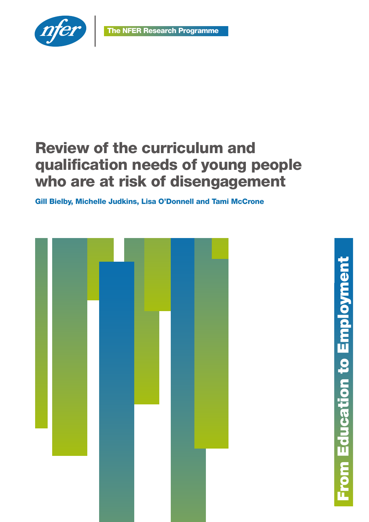

# Review of the curriculum and qualification needs of young people who are at risk of disengagement

Gill Bielby, Michelle Judkins, Lisa O'Donnell and Tami McCrone

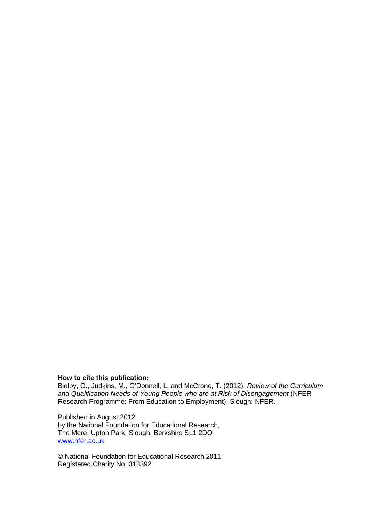#### **How to cite this publication:**

Bielby, G., Judkins, M., O'Donnell, L. and McCrone, T. (2012). *Review of the Curriculum and Qualification Needs of Young People who are at Risk of Disengagement* (NFER Research Programme: From Education to Employment). Slough: NFER.

Published in August 2012 by the National Foundation for Educational Research, The Mere, Upton Park, Slough, Berkshire SL1 2DQ [www.nfer.ac.uk](http://www.nfer.ac.uk/)

© National Foundation for Educational Research 2011 Registered Charity No. 313392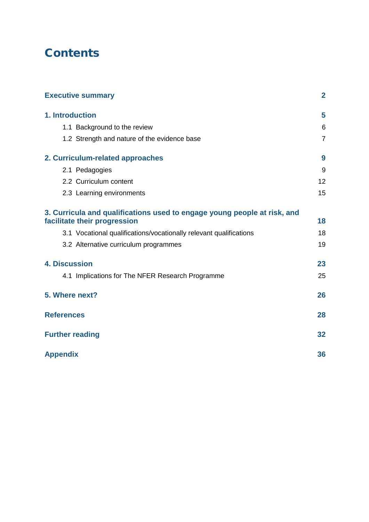## **Contents**

| <b>Executive summary</b>                                                                                 | $\overline{2}$ |
|----------------------------------------------------------------------------------------------------------|----------------|
| 1. Introduction                                                                                          | 5              |
| 1.1 Background to the review                                                                             | 6              |
| 1.2 Strength and nature of the evidence base                                                             | $\overline{7}$ |
| 2. Curriculum-related approaches                                                                         | 9              |
| 2.1 Pedagogies                                                                                           | 9              |
| 2.2 Curriculum content                                                                                   | 12             |
| 2.3 Learning environments                                                                                | 15             |
| 3. Curricula and qualifications used to engage young people at risk, and<br>facilitate their progression | 18             |
| 3.1 Vocational qualifications/vocationally relevant qualifications                                       | 18             |
| 3.2 Alternative curriculum programmes                                                                    | 19             |
| <b>4. Discussion</b>                                                                                     | 23             |
| 4.1 Implications for The NFER Research Programme                                                         | 25             |
| 5. Where next?                                                                                           | 26             |
| <b>References</b>                                                                                        | 28             |
| <b>Further reading</b>                                                                                   | 32             |
| <b>Appendix</b>                                                                                          | 36             |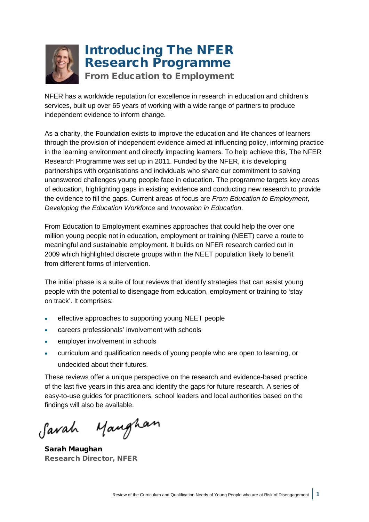

## Introducing The NFER Research Programme

From Education to Employment

NFER has a worldwide reputation for excellence in research in education and children's services, built up over 65 years of working with a wide range of partners to produce independent evidence to inform change.

As a charity, the Foundation exists to improve the education and life chances of learners through the provision of independent evidence aimed at influencing policy, informing practice in the learning environment and directly impacting learners. To help achieve this, The NFER Research Programme was set up in 2011. Funded by the NFER, it is developing partnerships with organisations and individuals who share our commitment to solving unanswered challenges young people face in education. The programme targets key areas of education, highlighting gaps in existing evidence and conducting new research to provide the evidence to fill the gaps. Current areas of focus are *From Education to Employment*, *Developing the Education Workforce* and *Innovation in Education*.

From Education to Employment examines approaches that could help the over one million young people not in education, employment or training (NEET) carve a route to meaningful and sustainable employment. It builds on NFER research carried out in 2009 which highlighted discrete groups within the NEET population likely to benefit from different forms of intervention.

The initial phase is a suite of four reviews that identify strategies that can assist young people with the potential to disengage from education, employment or training to 'stay on track'. It comprises:

- effective approaches to supporting young NEET people
- careers professionals' involvement with schools
- employer involvement in schools
- curriculum and qualification needs of young people who are open to learning, or undecided about their futures.

These reviews offer a unique perspective on the research and evidence-based practice of the last five years in this area and identify the gaps for future research. A series of easy-to-use guides for practitioners, school leaders and local authorities based on the findings will also be available.

Manghan Savah

Sarah Maughan Research Director, NFER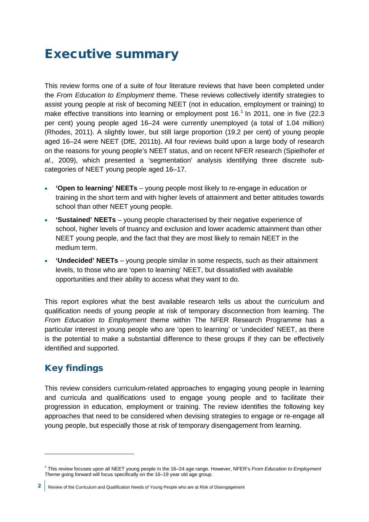## <span id="page-4-0"></span>Executive summary

This review forms one of a suite of four literature reviews that have been completed under the *From Education to Employment* theme. These reviews collectively identify strategies to assist young people at risk of becoming NEET (not in education, employment or training) to make effective transitions into learning or employment post  $16<sup>1</sup>$  $16<sup>1</sup>$  In 2011, one in five (22.3) per cent) young people aged 16–24 were currently unemployed (a total of 1.04 million) (Rhodes, 2011). A slightly lower, but still large proportion (19.2 per cent) of young people aged 16–24 were NEET (DfE, 2011b). All four reviews build upon a large body of research on the reasons for young people's NEET status, and on recent NFER research (Spielhofer *et al*., 2009), which presented a 'segmentation' analysis identifying three discrete subcategories of NEET young people aged 16–17.

- **'Open to learning' NEETs** young people most likely to re-engage in education or training in the short term and with higher levels of attainment and better attitudes towards school than other NEET young people.
- **'Sustained' NEETs** young people characterised by their negative experience of school, higher levels of truancy and exclusion and lower academic attainment than other NEET young people, and the fact that they are most likely to remain NEET in the medium term.
- **'Undecided' NEETs** young people similar in some respects, such as their attainment levels, to those who are 'open to learning' NEET, but dissatisfied with available opportunities and their ability to access what they want to do.

This report explores what the best available research tells us about the curriculum and qualification needs of young people at risk of temporary disconnection from learning. The *From Education to Employment* theme within The NFER Research Programme has a particular interest in young people who are 'open to learning' or 'undecided' NEET, as there is the potential to make a substantial difference to these groups if they can be effectively identified and supported.

## Key findings

<u>.</u>

This review considers curriculum-related approaches to engaging young people in learning and curricula and qualifications used to engage young people and to facilitate their progression in education, employment or training. The review identifies the following key approaches that need to be considered when devising strategies to engage or re-engage all young people, but especially those at risk of temporary disengagement from learning.

<sup>1</sup> This review focuses upon all NEET young people in the 16–24 age range. However, NFER's *From Education to Employment Theme* going forward will focus specifically on the 16–19 year old age group.

<span id="page-4-1"></span><sup>2</sup> Review of the Curriculum and Qualification Needs of Young People who are at Risk of Disengagement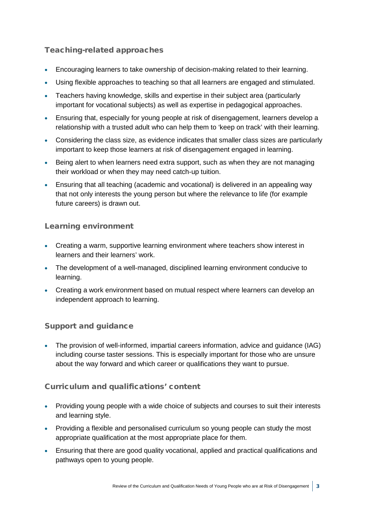### Teaching-related approaches

- Encouraging learners to take ownership of decision-making related to their learning.
- Using flexible approaches to teaching so that all learners are engaged and stimulated.
- Teachers having knowledge, skills and expertise in their subject area (particularly important for vocational subjects) as well as expertise in pedagogical approaches.
- Ensuring that, especially for young people at risk of disengagement, learners develop a relationship with a trusted adult who can help them to 'keep on track' with their learning.
- Considering the class size, as evidence indicates that smaller class sizes are particularly important to keep those learners at risk of disengagement engaged in learning.
- Being alert to when learners need extra support, such as when they are not managing their workload or when they may need catch-up tuition.
- Ensuring that all teaching (academic and vocational) is delivered in an appealing way that not only interests the young person but where the relevance to life (for example future careers) is drawn out.

### Learning environment

- Creating a warm, supportive learning environment where teachers show interest in learners and their learners' work.
- The development of a well-managed, disciplined learning environment conducive to learning.
- Creating a work environment based on mutual respect where learners can develop an independent approach to learning.

### Support and guidance

• The provision of well-informed, impartial careers information, advice and guidance (IAG) including course taster sessions. This is especially important for those who are unsure about the way forward and which career or qualifications they want to pursue.

### Curriculum and qualifications' content

- Providing young people with a wide choice of subjects and courses to suit their interests and learning style.
- Providing a flexible and personalised curriculum so young people can study the most appropriate qualification at the most appropriate place for them.
- Ensuring that there are good quality vocational, applied and practical qualifications and pathways open to young people.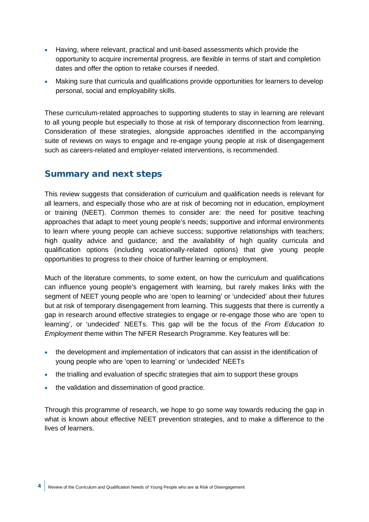- Having, where relevant, practical and unit-based assessments which provide the opportunity to acquire incremental progress, are flexible in terms of start and completion dates and offer the option to retake courses if needed.
- Making sure that curricula and qualifications provide opportunities for learners to develop personal, social and employability skills.

These curriculum-related approaches to supporting students to stay in learning are relevant to all young people but especially to those at risk of temporary disconnection from learning. Consideration of these strategies, alongside approaches identified in the accompanying suite of reviews on ways to engage and re-engage young people at risk of disengagement such as careers-related and employer-related interventions, is recommended.

### Summary and next steps

This review suggests that consideration of curriculum and qualification needs is relevant for all learners, and especially those who are at risk of becoming not in education, employment or training (NEET). Common themes to consider are: the need for positive teaching approaches that adapt to meet young people's needs; supportive and informal environments to learn where young people can achieve success; supportive relationships with teachers; high quality advice and guidance; and the availability of high quality curricula and qualification options (including vocationally-related options) that give young people opportunities to progress to their choice of further learning or employment.

Much of the literature comments, to some extent, on how the curriculum and qualifications can influence young people's engagement with learning, but rarely makes links with the segment of NEET young people who are 'open to learning' or 'undecided' about their futures but at risk of temporary disengagement from learning. This suggests that there is currently a gap in research around effective strategies to engage or re-engage those who are 'open to learning', or 'undecided' NEETs. This gap will be the focus of the *From Education to Employment* theme within The NFER Research Programme. Key features will be:

- the development and implementation of indicators that can assist in the identification of young people who are 'open to learning' or 'undecided' NEETs
- the trialling and evaluation of specific strategies that aim to support these groups
- the validation and dissemination of good practice.

Through this programme of research, we hope to go some way towards reducing the gap in what is known about effective NEET prevention strategies, and to make a difference to the lives of learners.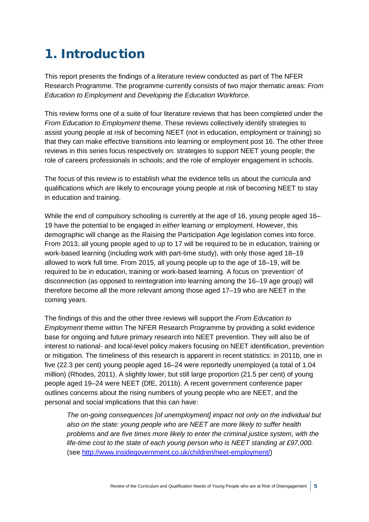## <span id="page-7-0"></span>1. Introduction

This report presents the findings of a literature review conducted as part of The NFER Research Programme. The programme currently consists of two major thematic areas: *From Education to Employment* and *Developing the Education Workforce.* 

This review forms one of a suite of four literature reviews that has been completed under the *From Education to Employment* theme. These reviews collectively identify strategies to assist young people at risk of becoming NEET (not in education, employment or training) so that they can make effective transitions into learning or employment post 16. The other three reviews in this series focus respectively on: strategies to support NEET young people; the role of careers professionals in schools; and the role of employer engagement in schools.

The focus of this review is to establish what the evidence tells us about the curricula and qualifications which are likely to encourage young people at risk of becoming NEET to stay in education and training.

While the end of compulsory schooling is currently at the age of 16, young people aged 16– 19 have the potential to be engaged in *either* learning *or* employment. However, this demographic will change as the Raising the Participation Age legislation comes into force. From 2013, all young people aged to up to 17 will be required to be in education, training or work-based learning (including work with part-time study), with only those aged 18–19 allowed to work full time. From 2015, all young people up to the age of 18–19, will be required to be in education, training or work-based learning. A focus on 'prevention' of disconnection (as opposed to reintegration into learning among the 16–19 age group) will therefore become all the more relevant among those aged 17–19 who are NEET in the coming years.

The findings of this and the other three reviews will support the *From Education to Employment* theme within The NFER Research Programme by providing a solid evidence base for ongoing and future primary research into NEET prevention. They will also be of interest to national- and local-level policy makers focusing on NEET identification, prevention or mitigation. The timeliness of this research is apparent in recent statistics: in 2011b, one in five (22.3 per cent) young people aged 16–24 were reportedly unemployed (a total of 1.04 million) (Rhodes, 2011). A slightly lower, but still large proportion (21.5 per cent) of young people aged 19–24 were NEET (DfE, 2011b). A recent government conference paper outlines concerns about the rising numbers of young people who are NEET, and the personal and social implications that this can have:

*The on-going consequences [of unemployment] impact not only on the individual but also on the state: young people who are NEET are more likely to suffer health problems and are five times more likely to enter the criminal justice system, with the life-time cost to the state of each young person who is NEET standing at £97,000.* (see [http://www.insidegovernment.co.uk/children/neet-employment/\)](http://www.insidegovernment.co.uk/children/neet-employment/)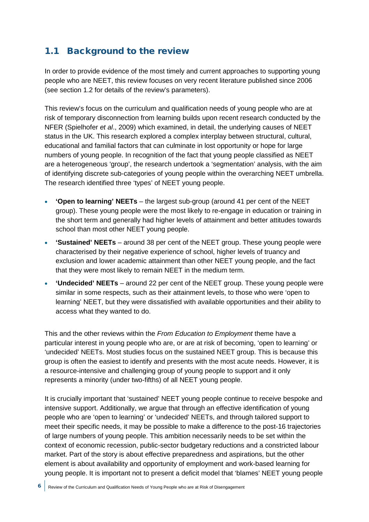### <span id="page-8-0"></span>1.1 Background to the review

In order to provide evidence of the most timely and current approaches to supporting young people who are NEET, this review focuses on very recent literature published since 2006 (see section 1.2 for details of the review's parameters).

This review's focus on the curriculum and qualification needs of young people who are at risk of temporary disconnection from learning builds upon recent research conducted by the NFER (Spielhofer *et al*., 2009) which examined, in detail, the underlying causes of NEET status in the UK. This research explored a complex interplay between structural, cultural, educational and familial factors that can culminate in lost opportunity or hope for large numbers of young people. In recognition of the fact that young people classified as NEET are a heterogeneous 'group', the research undertook a 'segmentation' analysis, with the aim of identifying discrete sub-categories of young people within the overarching NEET umbrella. The research identified three 'types' of NEET young people.

- **'Open to learning' NEETs** the largest sub-group (around 41 per cent of the NEET group). These young people were the most likely to re-engage in education or training in the short term and generally had higher levels of attainment and better attitudes towards school than most other NEET young people.
- **'Sustained' NEETs** around 38 per cent of the NEET group. These young people were characterised by their negative experience of school, higher levels of truancy and exclusion and lower academic attainment than other NEET young people, and the fact that they were most likely to remain NEET in the medium term.
- **'Undecided' NEETs** around 22 per cent of the NEET group. These young people were similar in some respects, such as their attainment levels, to those who were 'open to learning' NEET, but they were dissatisfied with available opportunities and their ability to access what they wanted to do.

This and the other reviews within the *From Education to Employment* theme have a particular interest in young people who are, or are at risk of becoming, 'open to learning' or 'undecided' NEETs. Most studies focus on the sustained NEET group. This is because this group is often the easiest to identify and presents with the most acute needs. However, it is a resource-intensive and challenging group of young people to support and it only represents a minority (under two-fifths) of all NEET young people.

It is crucially important that 'sustained' NEET young people continue to receive bespoke and intensive support. Additionally, we argue that through an effective identification of young people who are 'open to learning' or 'undecided' NEETs, and through tailored support to meet their specific needs, it may be possible to make a difference to the post-16 trajectories of large numbers of young people. This ambition necessarily needs to be set within the context of economic recession, public-sector budgetary reductions and a constricted labour market. Part of the story is about effective preparedness and aspirations, but the other element is about availability and opportunity of employment and work-based learning for young people. It is important not to present a deficit model that 'blames' NEET young people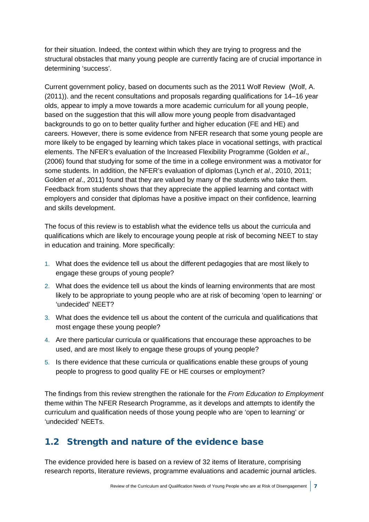for their situation. Indeed, the context within which they are trying to progress and the structural obstacles that many young people are currently facing are of crucial importance in determining 'success'.

Current government policy, based on documents such as the 2011 Wolf Review (Wolf, A. (2011)). and the recent consultations and proposals regarding qualifications for 14–16 year olds, appear to imply a move towards a more academic curriculum for all young people, based on the suggestion that this will allow more young people from disadvantaged backgrounds to go on to better quality further and higher education (FE and HE) and careers. However, there is some evidence from NFER research that some young people are more likely to be engaged by learning which takes place in vocational settings, with practical elements. The NFER's evaluation of the Increased Flexibility Programme (Golden *et al*., (2006) found that studying for some of the time in a college environment was a motivator for some students. In addition, the NFER's evaluation of diplomas (Lynch *et al*., 2010, 2011; Golden *et al*., 2011) found that they are valued by many of the students who take them. Feedback from students shows that they appreciate the applied learning and contact with employers and consider that diplomas have a positive impact on their confidence, learning and skills development.

The focus of this review is to establish what the evidence tells us about the curricula and qualifications which are likely to encourage young people at risk of becoming NEET to stay in education and training. More specifically:

- 1. What does the evidence tell us about the different pedagogies that are most likely to engage these groups of young people?
- 2. What does the evidence tell us about the kinds of learning environments that are most likely to be appropriate to young people who are at risk of becoming 'open to learning' or 'undecided' NEET?
- 3. What does the evidence tell us about the content of the curricula and qualifications that most engage these young people?
- 4. Are there particular curricula or qualifications that encourage these approaches to be used, and are most likely to engage these groups of young people?
- 5. Is there evidence that these curricula or qualifications enable these groups of young people to progress to good quality FE or HE courses or employment?

The findings from this review strengthen the rationale for the *From Education to Employment*  theme within The NFER Research Programme, as it develops and attempts to identify the curriculum and qualification needs of those young people who are 'open to learning' or 'undecided' NEETs.

### <span id="page-9-0"></span>1.2 Strength and nature of the evidence base

The evidence provided here is based on a review of 32 items of literature, comprising research reports, literature reviews, programme evaluations and academic journal articles.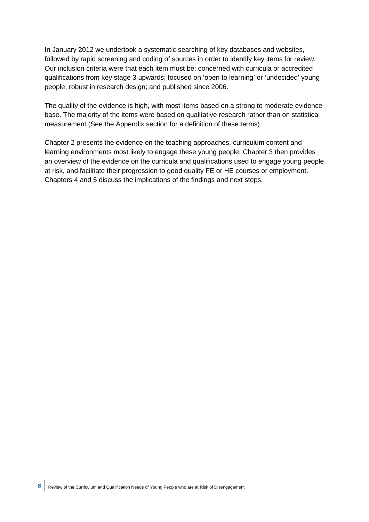In January 2012 we undertook a systematic searching of key databases and websites, followed by rapid screening and coding of sources in order to identify key items for review. Our inclusion criteria were that each item must be: concerned with curricula or accredited qualifications from key stage 3 upwards; focused on 'open to learning' or 'undecided' young people; robust in research design; and published since 2006.

The quality of the evidence is high, with most items based on a strong to moderate evidence base. The majority of the items were based on qualitative research rather than on statistical measurement (See the Appendix section for a definition of these terms).

Chapter 2 presents the evidence on the teaching approaches, curriculum content and learning environments most likely to engage these young people. Chapter 3 then provides an overview of the evidence on the curricula and qualifications used to engage young people at risk, and facilitate their progression to good quality FE or HE courses or employment. Chapters 4 and 5 discuss the implications of the findings and next steps.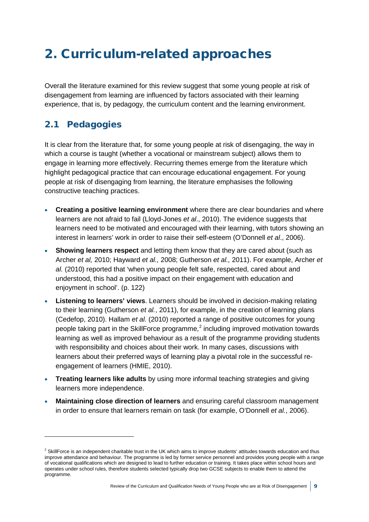## <span id="page-11-0"></span>2. Curriculum-related approaches

Overall the literature examined for this review suggest that some young people at risk of disengagement from learning are influenced by factors associated with their learning experience, that is, by pedagogy, the curriculum content and the learning environment.

### <span id="page-11-1"></span>2.1 Pedagogies

-

It is clear from the literature that, for some young people at risk of disengaging, the way in which a course is taught (whether a vocational or mainstream subject) allows them to engage in learning more effectively. Recurring themes emerge from the literature which highlight pedagogical practice that can encourage educational engagement. For young people at risk of disengaging from learning, the literature emphasises the following constructive teaching practices.

- **Creating a positive learning environment** where there are clear boundaries and where learners are not afraid to fail (Lloyd-Jones *et al*., 2010). The evidence suggests that learners need to be motivated and encouraged with their learning, with tutors showing an interest in learners' work in order to raise their self-esteem (O'Donnell *et al*., 2006).
- **Showing learners respect** and letting them know that they are cared about (such as Archer *et al,* 2010; Hayward *et al.,* 2008; Gutherson *et al.,* 2011). For example, Archer *et al.* (2010) reported that 'when young people felt safe, respected, cared about and understood, this had a positive impact on their engagement with education and enjoyment in school'. (p. 122)
- **Listening to learners' views**. Learners should be involved in decision-making relating to their learning (Gutherson *et al.*, 2011), for example, in the creation of learning plans (Cedefop, 2010). Hallam *et al.* (2010) reported a range of positive outcomes for young people taking part in the SkillForce programme,<sup>[2](#page-11-2)</sup> including improved motivation towards learning as well as improved behaviour as a result of the programme providing students with responsibility and choices about their work. In many cases, discussions with learners about their preferred ways of learning play a pivotal role in the successful reengagement of learners (HMIE, 2010).
- **Treating learners like adults** by using more informal teaching strategies and giving learners more independence.
- **Maintaining close direction of learners** and ensuring careful classroom management in order to ensure that learners remain on task (for example, O'Donnell *et al.*, 2006).

<span id="page-11-2"></span> $<sup>2</sup>$  SkillForce is an independent charitable trust in the UK which aims to improve students' attitudes towards education and thus</sup> improve attendance and behaviour. The programme is led by former service personnel and provides young people with a range of vocational qualifications which are designed to lead to further education or training. It takes place within school hours and operates under school rules, therefore students selected typically drop two GCSE subjects to enable them to attend the programme.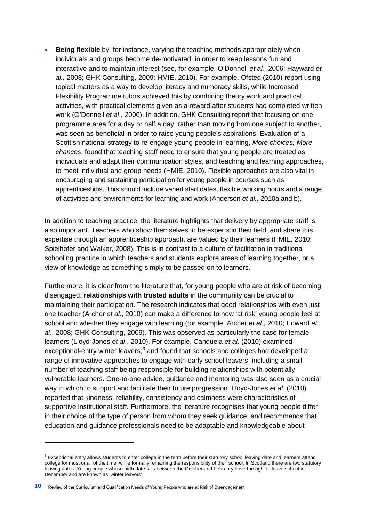**Being flexible** by, for instance, varying the teaching methods appropriately when individuals and groups become de-motivated, in order to keep lessons fun and interactive and to maintain interest (see, for example, O'Donnell *et al.,* 2006; Hayward *et al.,* 2008; GHK Consulting, 2009; HMIE, 2010). For example, Ofsted (2010) report using topical matters as a way to develop literacy and numeracy skills, while Increased Flexibility Programme tutors achieved this by combining theory work and practical activities, with practical elements given as a reward after students had completed written work (O'Donnell *et al*., 2006). In addition, GHK Consulting report that focusing on one programme area for a day or half a day, rather than moving from one subject to another, was seen as beneficial in order to raise young people's aspirations. Evaluation of a Scottish national strategy to re-engage young people in learning, *More choices, More chances*, found that teaching staff need to ensure that young people are treated as individuals and adapt their communication styles, and teaching and learning approaches, to meet individual and group needs (HMIE, 2010). Flexible approaches are also vital in encouraging and sustaining participation for young people in courses such as apprenticeships. This should include varied start dates, flexible working hours and a range of activities and environments for learning and work (Anderson *et al.,* 2010a and b).

In addition to teaching practice, the literature highlights that delivery by appropriate staff is also important. Teachers who show themselves to be experts in their field, and share this expertise through an apprenticeship approach, are valued by their learners (HMIE, 2010; Spielhofer and Walker, 2008). This is in contrast to a culture of facilitation in traditional schooling practice in which teachers and students explore areas of learning together, or a view of knowledge as something simply to be passed on to learners.

Furthermore, it is clear from the literature that, for young people who are at risk of becoming disengaged, **relationships with trusted adults** in the community can be crucial to maintaining their participation. The research indicates that good relationships with even just one teacher (Archer *et al*., 2010) can make a difference to how 'at risk' young people feel at school and whether they engage with learning (for example, Archer *et al*., 2010; Edward *et al*., 2008; GHK Consulting, 2009). This was observed as particularly the case for female learners (Lloyd-Jones *et al*., 2010). For example, Canduela *et al*. (2010) examined exceptional-entry winter leavers, $3$  and found that schools and colleges had developed a range of innovative approaches to engage with early school leavers, including a small number of teaching staff being responsible for building relationships with potentially vulnerable learners. One-to-one advice, guidance and mentoring was also seen as a crucial way in which to support and facilitate their future progression. Lloyd-Jones *et al*. (2010) reported that kindness, reliability, consistency and calmness were characteristics of supportive institutional staff. Furthermore, the literature recognises that young people differ in their choice of the type of person from whom they seek guidance, and recommends that education and guidance professionals need to be adaptable and knowledgeable about

-

<span id="page-12-0"></span><sup>&</sup>lt;sup>3</sup> Exceptional entry allows students to enter college in the term before their statutory school leaving date and learners attend college for most or all of the time, while formally remaining the responsibility of their school. In Scotland there are two statutory leaving dates. Young people whose birth date falls between the October and February have the right to leave school in December and are known as 'winter leavers'.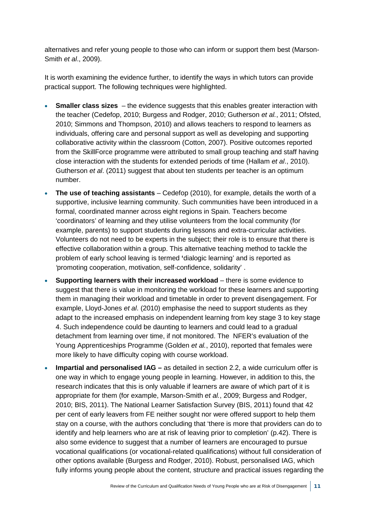alternatives and refer young people to those who can inform or support them best (Marson-Smith *et al*., 2009).

It is worth examining the evidence further, to identify the ways in which tutors can provide practical support. The following techniques were highlighted.

- **Smaller class sizes** the evidence suggests that this enables greater interaction with the teacher (Cedefop, 2010; Burgess and Rodger, 2010; Gutherson *et al.*, 2011; Ofsted, 2010; Simmons and Thompson, 2010) and allows teachers to respond to learners as individuals, offering care and personal support as well as developing and supporting collaborative activity within the classroom (Cotton, 2007). Positive outcomes reported from the SkillForce programme were attributed to small group teaching and staff having close interaction with the students for extended periods of time (Hallam *et al*., 2010). Gutherson *et al*. (2011) suggest that about ten students per teacher is an optimum number.
- **The use of teaching assistants** Cedefop (2010), for example, details the worth of a supportive, inclusive learning community. Such communities have been introduced in a formal, coordinated manner across eight regions in Spain. Teachers become 'coordinators' of learning and they utilise volunteers from the local community (for example, parents) to support students during lessons and extra-curricular activities. Volunteers do not need to be experts in the subject; their role is to ensure that there is effective collaboration within a group. This alternative teaching method to tackle the problem of early school leaving is termed **'**dialogic learning' and is reported as *'*promoting cooperation, motivation, self-confidence, solidarity' .
- **Supporting learners with their increased workload** there is some evidence to suggest that there is value in monitoring the workload for these learners and supporting them in managing their workload and timetable in order to prevent disengagement. For example, Lloyd-Jones *et al*. (2010) emphasise the need to support students as they adapt to the increased emphasis on independent learning from key stage 3 to key stage 4. Such independence could be daunting to learners and could lead to a gradual detachment from learning over time, if not monitored. The NFER's evaluation of the Young Apprenticeships Programme (Golden *et al.*, 2010), reported that females were more likely to have difficulty coping with course workload.
- **Impartial and personalised IAG –** as detailed in section 2.2, a wide curriculum offer is one way in which to engage young people in learning. However, in addition to this, the research indicates that this is only valuable if learners are aware of which part of it is appropriate for them (for example, Marson-Smith *et al.*, 2009; Burgess and Rodger, 2010; BIS, 2011). The National Learner Satisfaction Survey (BIS, 2011) found that 42 per cent of early leavers from FE neither sought nor were offered support to help them stay on a course, with the authors concluding that 'there is more that providers can do to identify and help learners who are at risk of leaving prior to completion' (p.42). There is also some evidence to suggest that a number of learners are encouraged to pursue vocational qualifications (or vocational-related qualifications) without full consideration of other options available (Burgess and Rodger, 2010). Robust, personalised IAG, which fully informs young people about the content, structure and practical issues regarding the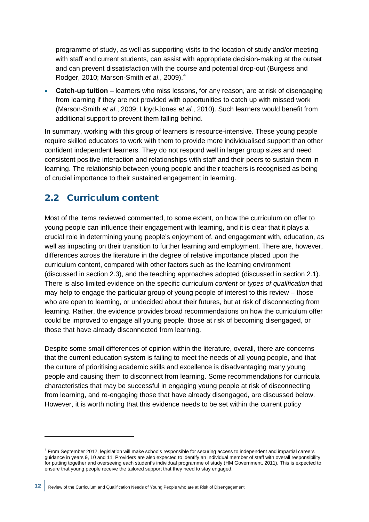programme of study, as well as supporting visits to the location of study and/or meeting with staff and current students, can assist with appropriate decision-making at the outset and can prevent dissatisfaction with the course and potential drop-out (Burgess and Rodger, 2010; Marson-Smith *et al*., 2009).[4](#page-14-1)

• **Catch-up tuition** – learners who miss lessons, for any reason, are at risk of disengaging from learning if they are not provided with opportunities to catch up with missed work (Marson-Smith *et al*., 2009; Lloyd-Jones *et al*., 2010). Such learners would benefit from additional support to prevent them falling behind.

In summary, working with this group of learners is resource-intensive. These young people require skilled educators to work with them to provide more individualised support than other confident independent learners. They do not respond well in larger group sizes and need consistent positive interaction and relationships with staff and their peers to sustain them in learning. The relationship between young people and their teachers is recognised as being of crucial importance to their sustained engagement in learning.

### <span id="page-14-0"></span>2.2 Curriculum content

-

Most of the items reviewed commented, to some extent, on how the curriculum on offer to young people can influence their engagement with learning, and it is clear that it plays a crucial role in determining young people's enjoyment of, and engagement with, education, as well as impacting on their transition to further learning and employment. There are, however, differences across the literature in the degree of relative importance placed upon the curriculum content, compared with other factors such as the learning environment (discussed in section 2.3), and the teaching approaches adopted (discussed in section 2.1). There is also limited evidence on the specific curriculum *content* or *types of qualification* that may help to engage the particular group of young people of interest to this review – those who are open to learning, or undecided about their futures, but at risk of disconnecting from learning. Rather, the evidence provides broad recommendations on how the curriculum offer could be improved to engage all young people, those at risk of becoming disengaged, or those that have already disconnected from learning.

Despite some small differences of opinion within the literature, overall, there are concerns that the current education system is failing to meet the needs of all young people, and that the culture of prioritising academic skills and excellence is disadvantaging many young people and causing them to disconnect from learning. Some recommendations for curricula characteristics that may be successful in engaging young people at risk of disconnecting from learning, and re-engaging those that have already disengaged, are discussed below. However, it is worth noting that this evidence needs to be set within the current policy

<span id="page-14-1"></span><sup>4</sup> From September 2012, legislation will make schools responsible for securing access to independent and impartial careers guidance in years 9, 10 and 11. Providers are also expected to identify an individual member of staff with overall responsibility for putting together and overseeing each student's individual programme of study (HM Government, 2011). This is expected to ensure that young people receive the tailored support that they need to stay engaged.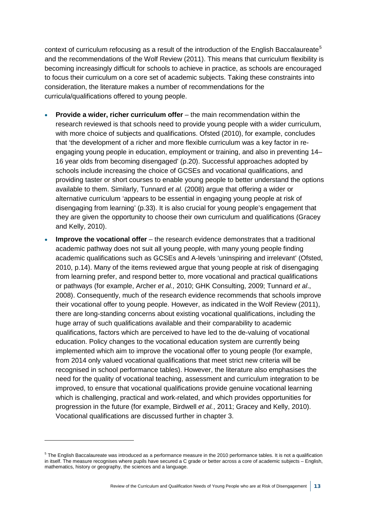context of curriculum refocusing as a result of the introduction of the English Baccalaureate<sup>[5](#page-15-0)</sup> and the recommendations of the Wolf Review (2011). This means that curriculum flexibility is becoming increasingly difficult for schools to achieve in practice, as schools are encouraged to focus their curriculum on a core set of academic subjects. Taking these constraints into consideration, the literature makes a number of recommendations for the curricula/qualifications offered to young people.

- **Provide a wider, richer curriculum offer** the main recommendation within the research reviewed is that schools need to provide young people with a wider curriculum, with more choice of subjects and qualifications. Ofsted (2010), for example, concludes that 'the development of a richer and more flexible curriculum was a key factor in reengaging young people in education, employment or training, and also in preventing 14– 16 year olds from becoming disengaged' (p.20). Successful approaches adopted by schools include increasing the choice of GCSEs and vocational qualifications, and providing taster or short courses to enable young people to better understand the options available to them. Similarly, Tunnard *et al.* (2008) argue that offering a wider or alternative curriculum 'appears to be essential in engaging young people at risk of disengaging from learning' (p.33). It is also crucial for young people's engagement that they are given the opportunity to choose their own curriculum and qualifications (Gracey and Kelly, 2010).
- **Improve the vocational offer** the research evidence demonstrates that a traditional academic pathway does not suit all young people, with many young people finding academic qualifications such as GCSEs and A-levels 'uninspiring and irrelevant' (Ofsted, 2010, p.14). Many of the items reviewed argue that young people at risk of disengaging from learning prefer, and respond better to, more vocational and practical qualifications or pathways (for example, Archer *et al.,* 2010; GHK Consulting, 2009; Tunnard *et al*., 2008). Consequently, much of the research evidence recommends that schools improve their vocational offer to young people. However, as indicated in the Wolf Review (2011), there are long-standing concerns about existing vocational qualifications, including the huge array of such qualifications available and their comparability to academic qualifications, factors which are perceived to have led to the de-valuing of vocational education. Policy changes to the vocational education system are currently being implemented which aim to improve the vocational offer to young people (for example, from 2014 only valued vocational qualifications that meet strict new criteria will be recognised in school performance tables). However, the literature also emphasises the need for the quality of vocational teaching, assessment and curriculum integration to be improved, to ensure that vocational qualifications provide genuine vocational learning which is challenging, practical and work-related, and which provides opportunities for progression in the future (for example, Birdwell *et al.*, 2011; Gracey and Kelly, 2010). Vocational qualifications are discussed further in chapter 3.

-

<span id="page-15-0"></span><sup>&</sup>lt;sup>5</sup> The English Baccalaureate was introduced as a performance measure in the 2010 performance tables. It is not a qualification in itself. The measure recognises where pupils have secured a C grade or better across a core of academic subjects – English, mathematics, history or geography, the sciences and a language.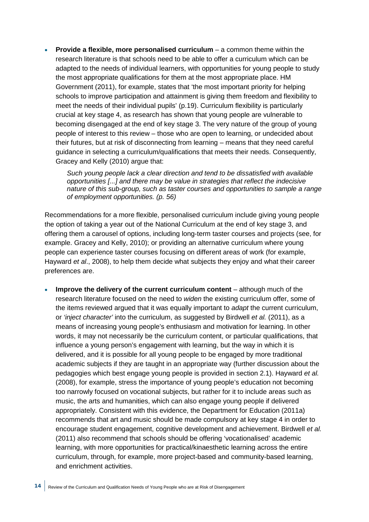• **Provide a flexible, more personalised curriculum** – a common theme within the research literature is that schools need to be able to offer a curriculum which can be adapted to the needs of individual learners, with opportunities for young people to study the most appropriate qualifications for them at the most appropriate place. HM Government (2011), for example, states that 'the most important priority for helping schools to improve participation and attainment is giving them freedom and flexibility to meet the needs of their individual pupils' (p.19). Curriculum flexibility is particularly crucial at key stage 4, as research has shown that young people are vulnerable to becoming disengaged at the end of key stage 3. The very nature of the group of young people of interest to this review – those who are open to learning, or undecided about their futures, but at risk of disconnecting from learning – means that they need careful guidance in selecting a curriculum/qualifications that meets their needs. Consequently, Gracey and Kelly (2010) argue that:

*Such young people lack a clear direction and tend to be dissatisfied with available opportunities [...] and there may be value in strategies that reflect the indecisive nature of this sub-group, such as taster courses and opportunities to sample a range of employment opportunities. (p. 56)* 

Recommendations for a more flexible, personalised curriculum include giving young people the option of taking a year out of the National Curriculum at the end of key stage 3, and offering them a carousel of options, including long-term taster courses and projects (see, for example. Gracey and Kelly, 2010); or providing an alternative curriculum where young people can experience taster courses focusing on different areas of work (for example, Hayward *et al*., 2008), to help them decide what subjects they enjoy and what their career preferences are.

• **Improve the delivery of the current curriculum content** – although much of the research literature focused on the need to *widen* the existing curriculum offer, some of the items reviewed argued that it was equally important to *adapt* the current curriculum, or *'inject character'* into the curriculum, as suggested by Birdwell *et al.* (2011), as a means of increasing young people's enthusiasm and motivation for learning. In other words, it may not necessarily be the curriculum content, or particular qualifications, that influence a young person's engagement with learning, but the way in which it is delivered, and it is possible for all young people to be engaged by more traditional academic subjects if they are taught in an appropriate way (further discussion about the pedagogies which best engage young people is provided in section 2.1). Hayward *et al.* (2008), for example, stress the importance of young people's education not becoming too narrowly focused on vocational subjects, but rather for it to include areas such as music, the arts and humanities, which can also engage young people if delivered appropriately. Consistent with this evidence, the Department for Education (2011a) recommends that art and music should be made compulsory at key stage 4 in order to encourage student engagement, cognitive development and achievement. Birdwell *et al.* (2011) also recommend that schools should be offering 'vocationalised' academic learning, with more opportunities for practical/kinaesthetic learning across the entire curriculum, through, for example, more project-based and community-based learning, and enrichment activities.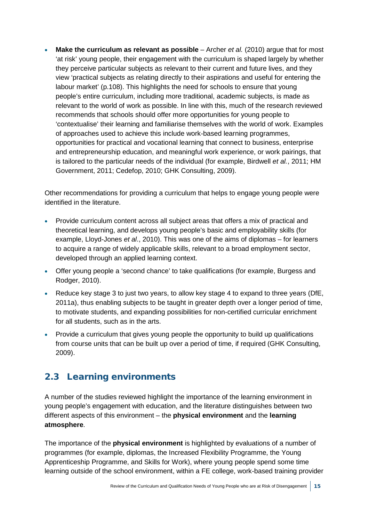• **Make the curriculum as relevant as possible** – Archer *et al.* (2010) argue that for most 'at risk' young people, their engagement with the curriculum is shaped largely by whether they perceive particular subjects as relevant to their current and future lives, and they view 'practical subjects as relating directly to their aspirations and useful for entering the labour market' (p.108). This highlights the need for schools to ensure that young people's entire curriculum, including more traditional, academic subjects, is made as relevant to the world of work as possible. In line with this, much of the research reviewed recommends that schools should offer more opportunities for young people to 'contextualise' their learning and familiarise themselves with the world of work. Examples of approaches used to achieve this include work-based learning programmes, opportunities for practical and vocational learning that connect to business, enterprise and entrepreneurship education, and meaningful work experience, or work pairings, that is tailored to the particular needs of the individual (for example, Birdwell *et al.*, 2011; HM Government, 2011; Cedefop, 2010; GHK Consulting, 2009).

Other recommendations for providing a curriculum that helps to engage young people were identified in the literature.

- Provide curriculum content across all subject areas that offers a mix of practical and theoretical learning, and develops young people's basic and employability skills (for example, Lloyd-Jones *et al*., 2010). This was one of the aims of diplomas – for learners to acquire a range of widely applicable skills, relevant to a broad employment sector, developed through an applied learning context.
- Offer young people a 'second chance' to take qualifications (for example, Burgess and Rodger, 2010).
- Reduce key stage 3 to just two years, to allow key stage 4 to expand to three years (DfE, 2011a), thus enabling subjects to be taught in greater depth over a longer period of time, to motivate students, and expanding possibilities for non-certified curricular enrichment for all students, such as in the arts.
- Provide a curriculum that gives young people the opportunity to build up qualifications from course units that can be built up over a period of time, if required (GHK Consulting, 2009).

### <span id="page-17-0"></span>2.3 Learning environments

A number of the studies reviewed highlight the importance of the learning environment in young people's engagement with education, and the literature distinguishes between two different aspects of this environment – the **physical environment** and the **learning atmosphere**.

The importance of the **physical environment** is highlighted by evaluations of a number of programmes (for example, diplomas, the Increased Flexibility Programme, the Young Apprenticeship Programme, and Skills for Work), where young people spend some time learning outside of the school environment, within a FE college, work-based training provider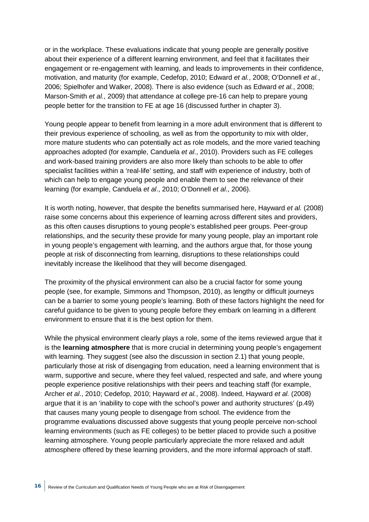or in the workplace. These evaluations indicate that young people are generally positive about their experience of a different learning environment, and feel that it facilitates their engagement or re-engagement with learning, and leads to improvements in their confidence, motivation, and maturity (for example, Cedefop, 2010; Edward *et al.*, 2008; O'Donnell *et al.*, 2006; Spielhofer and Walker, 2008). There is also evidence (such as Edward *et al.*, 2008; Marson-Smith *et al.*, 2009) that attendance at college pre-16 can help to prepare young people better for the transition to FE at age 16 (discussed further in chapter 3).

Young people appear to benefit from learning in a more adult environment that is different to their previous experience of schooling, as well as from the opportunity to mix with older, more mature students who can potentially act as role models, and the more varied teaching approaches adopted (for example, Canduela *et al*., 2010). Providers such as FE colleges and work-based training providers are also more likely than schools to be able to offer specialist facilities within a 'real-life' setting, and staff with experience of industry, both of which can help to engage young people and enable them to see the relevance of their learning (for example, Canduela *et al*., 2010; O'Donnell *et al*., 2006).

It is worth noting, however, that despite the benefits summarised here, Hayward *et al.* (2008) raise some concerns about this experience of learning across different sites and providers, as this often causes disruptions to young people's established peer groups. Peer-group relationships, and the security these provide for many young people, play an important role in young people's engagement with learning, and the authors argue that, for those young people at risk of disconnecting from learning, disruptions to these relationships could inevitably increase the likelihood that they will become disengaged.

The proximity of the physical environment can also be a crucial factor for some young people (see, for example, Simmons and Thompson, 2010), as lengthy or difficult journeys can be a barrier to some young people's learning. Both of these factors highlight the need for careful guidance to be given to young people before they embark on learning in a different environment to ensure that it is the best option for them.

While the physical environment clearly plays a role, some of the items reviewed argue that it is the **learning atmosphere** that is more crucial in determining young people's engagement with learning. They suggest (see also the discussion in section 2.1) that young people. particularly those at risk of disengaging from education, need a learning environment that is warm, supportive and secure, where they feel valued, respected and safe, and where young people experience positive relationships with their peers and teaching staff (for example, Archer *et al*., 2010; Cedefop, 2010; Hayward *et al.*, 2008). Indeed, Hayward *et al.* (2008) argue that it is an 'inability to cope with the school's power and authority structures' (p.49) that causes many young people to disengage from school. The evidence from the programme evaluations discussed above suggests that young people perceive non-school learning environments (such as FE colleges) to be better placed to provide such a positive learning atmosphere. Young people particularly appreciate the more relaxed and adult atmosphere offered by these learning providers, and the more informal approach of staff.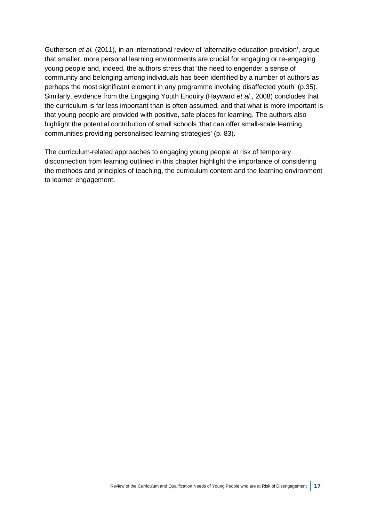Gutherson *et al.* (2011), in an international review of 'alternative education provision', argue that smaller, more personal learning environments are crucial for engaging or re-engaging young people and, indeed, the authors stress that 'the need to engender a sense of community and belonging among individuals has been identified by a number of authors as perhaps the most significant element in any programme involving disaffected youth' (p.35). Similarly, evidence from the Engaging Youth Enquiry (Hayward *et al.*, 2008) concludes that the curriculum is far less important than is often assumed, and that what is more important is that young people are provided with positive, safe places for learning. The authors also highlight the potential contribution of small schools 'that can offer small-scale learning communities providing personalised learning strategies' (p. 83).

The curriculum-related approaches to engaging young people at risk of temporary disconnection from learning outlined in this chapter highlight the importance of considering the methods and principles of teaching, the curriculum content and the learning environment to learner engagement.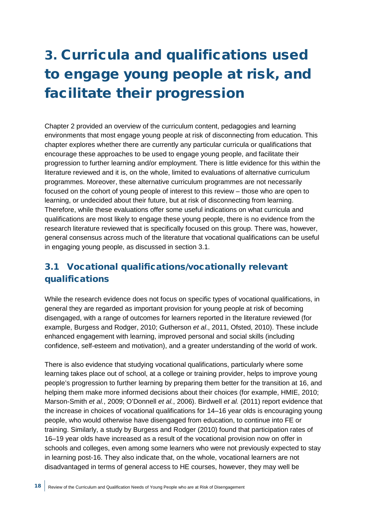# <span id="page-20-0"></span>3. Curricula and qualifications used to engage young people at risk, and facilitate their progression

Chapter 2 provided an overview of the curriculum content, pedagogies and learning environments that most engage young people at risk of disconnecting from education. This chapter explores whether there are currently any particular curricula or qualifications that encourage these approaches to be used to engage young people, and facilitate their progression to further learning and/or employment. There is little evidence for this within the literature reviewed and it is, on the whole, limited to evaluations of alternative curriculum programmes. Moreover, these alternative curriculum programmes are not necessarily focused on the cohort of young people of interest to this review – those who are open to learning, or undecided about their future, but at risk of disconnecting from learning. Therefore, while these evaluations offer some useful indications on what curricula and qualifications are most likely to engage these young people, there is no evidence from the research literature reviewed that is specifically focused on this group. There was, however, general consensus across much of the literature that vocational qualifications can be useful in engaging young people, as discussed in section 3.1.

## <span id="page-20-1"></span>3.1 Vocational qualifications/vocationally relevant qualifications

While the research evidence does not focus on specific types of vocational qualifications, in general they are regarded as important provision for young people at risk of becoming disengaged, with a range of outcomes for learners reported in the literature reviewed (for example, Burgess and Rodger, 2010; Gutherson *et al*., 2011, Ofsted, 2010). These include enhanced engagement with learning, improved personal and social skills (including confidence, self-esteem and motivation), and a greater understanding of the world of work.

There is also evidence that studying vocational qualifications, particularly where some learning takes place out of school, at a college or training provider, helps to improve young people's progression to further learning by preparing them better for the transition at 16, and helping them make more informed decisions about their choices (for example, HMIE, 2010; Marson-Smith *et al.*, 2009; O'Donnell *et al.*, 2006). Birdwell *et al.* (2011) report evidence that the increase in choices of vocational qualifications for 14–16 year olds is encouraging young people, who would otherwise have disengaged from education, to continue into FE or training. Similarly, a study by Burgess and Rodger (2010) found that participation rates of 16–19 year olds have increased as a result of the vocational provision now on offer in schools and colleges, even among some learners who were not previously expected to stay in learning post-16. They also indicate that, on the whole, vocational learners are not disadvantaged in terms of general access to HE courses, however, they may well be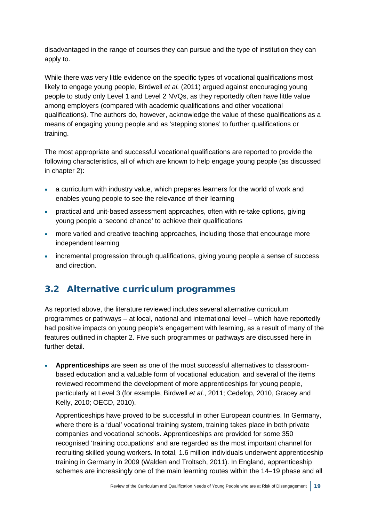disadvantaged in the range of courses they can pursue and the type of institution they can apply to.

While there was very little evidence on the specific types of vocational qualifications most likely to engage young people, Birdwell *et al.* (2011) argued against encouraging young people to study only Level 1 and Level 2 NVQs, as they reportedly often have little value among employers (compared with academic qualifications and other vocational qualifications). The authors do, however, acknowledge the value of these qualifications as a means of engaging young people and as 'stepping stones' to further qualifications or training.

The most appropriate and successful vocational qualifications are reported to provide the following characteristics, all of which are known to help engage young people (as discussed in chapter 2):

- a curriculum with industry value, which prepares learners for the world of work and enables young people to see the relevance of their learning
- practical and unit-based assessment approaches, often with re-take options, giving young people a 'second chance' to achieve their qualifications
- more varied and creative teaching approaches, including those that encourage more independent learning
- incremental progression through qualifications, giving young people a sense of success and direction.

### <span id="page-21-0"></span>3.2 Alternative curriculum programmes

As reported above, the literature reviewed includes several alternative curriculum programmes or pathways – at local, national and international level – which have reportedly had positive impacts on young people's engagement with learning, as a result of many of the features outlined in chapter 2. Five such programmes or pathways are discussed here in further detail.

• **Apprenticeships** are seen as one of the most successful alternatives to classroombased education and a valuable form of vocational education, and several of the items reviewed recommend the development of more apprenticeships for young people, particularly at Level 3 (for example, Birdwell *et al*., 2011; Cedefop, 2010, Gracey and Kelly, 2010; OECD, 2010).

Apprenticeships have proved to be successful in other European countries. In Germany, where there is a 'dual' vocational training system, training takes place in both private companies and vocational schools. Apprenticeships are provided for some 350 recognised 'training occupations' and are regarded as the most important channel for recruiting skilled young workers. In total, 1.6 million individuals underwent apprenticeship training in Germany in 2009 (Walden and Troltsch, 2011). In England, apprenticeship schemes are increasingly one of the main learning routes within the 14–19 phase and all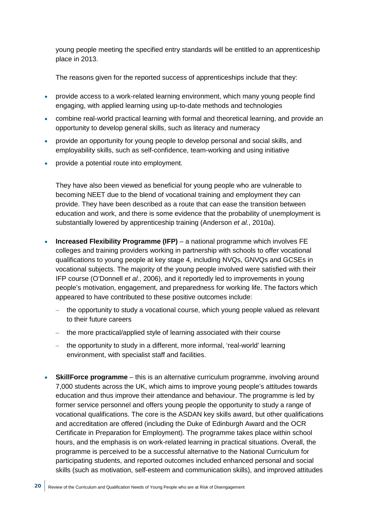young people meeting the specified entry standards will be entitled to an apprenticeship place in 2013.

The reasons given for the reported success of apprenticeships include that they:

- provide access to a work-related learning environment, which many young people find engaging, with applied learning using up-to-date methods and technologies
- combine real-world practical learning with formal and theoretical learning, and provide an opportunity to develop general skills, such as literacy and numeracy
- provide an opportunity for young people to develop personal and social skills, and employability skills, such as self-confidence, team-working and using initiative
- provide a potential route into employment.

They have also been viewed as beneficial for young people who are vulnerable to becoming NEET due to the blend of vocational training and employment they can provide. They have been described as a route that can ease the transition between education and work, and there is some evidence that the probability of unemployment is substantially lowered by apprenticeship training (Anderson *et al.*, 2010a).

- **Increased Flexibility Programme (IFP)** a national programme which involves FE colleges and training providers working in partnership with schools to offer vocational qualifications to young people at key stage 4, including NVQs, GNVQs and GCSEs in vocational subjects. The majority of the young people involved were satisfied with their IFP course (O'Donnell *et al*., 2006), and it reportedly led to improvements in young people's motivation, engagement, and preparedness for working life. The factors which appeared to have contributed to these positive outcomes include:
	- the opportunity to study a vocational course, which young people valued as relevant to their future careers
	- the more practical/applied style of learning associated with their course
	- the opportunity to study in a different, more informal, 'real-world' learning environment, with specialist staff and facilities.
- **SkillForce programme** this is an alternative curriculum programme, involving around 7,000 students across the UK, which aims to improve young people's attitudes towards education and thus improve their attendance and behaviour. The programme is led by former service personnel and offers young people the opportunity to study a range of vocational qualifications. The core is the ASDAN key skills award, but other qualifications and accreditation are offered (including the Duke of Edinburgh Award and the OCR Certificate in Preparation for Employment). The programme takes place within school hours, and the emphasis is on work-related learning in practical situations. Overall, the programme is perceived to be a successful alternative to the National Curriculum for participating students, and reported outcomes included enhanced personal and social skills (such as motivation, self-esteem and communication skills), and improved attitudes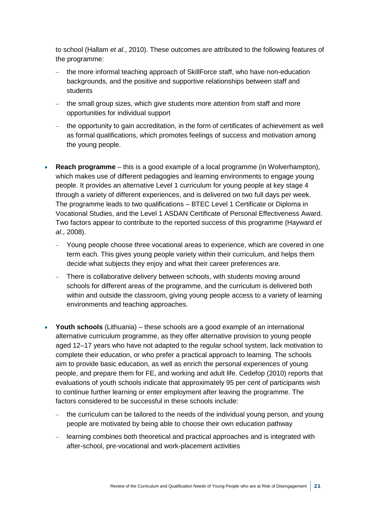to school (Hallam *et al*., 2010). These outcomes are attributed to the following features of the programme:

- the more informal teaching approach of SkillForce staff, who have non-education backgrounds, and the positive and supportive relationships between staff and students
- the small group sizes, which give students more attention from staff and more opportunities for individual support
- the opportunity to gain accreditation, in the form of certificates of achievement as well as formal qualifications, which promotes feelings of success and motivation among the young people.
- **Reach programme**  this is a good example of a local programme (in Wolverhampton), which makes use of different pedagogies and learning environments to engage young people. It provides an alternative Level 1 curriculum for young people at key stage 4 through a variety of different experiences, and is delivered on two full days per week. The programme leads to two qualifications – BTEC Level 1 Certificate or Diploma in Vocational Studies, and the Level 1 ASDAN Certificate of Personal Effectiveness Award. Two factors appear to contribute to the reported success of this programme (Hayward *et al*., 2008).
	- Young people choose three vocational areas to experience, which are covered in one term each. This gives young people variety within their curriculum, and helps them decide what subjects they enjoy and what their career preferences are.
	- There is collaborative delivery between schools, with students moving around schools for different areas of the programme, and the curriculum is delivered both within and outside the classroom, giving young people access to a variety of learning environments and teaching approaches.
- **Youth schools** (Lithuania) these schools are a good example of an international alternative curriculum programme, as they offer alternative provision to young people aged 12–17 years who have not adapted to the regular school system, lack motivation to complete their education, or who prefer a practical approach to learning. The schools aim to provide basic education, as well as enrich the personal experiences of young people, and prepare them for FE, and working and adult life. Cedefop (2010) reports that evaluations of youth schools indicate that approximately 95 per cent of participants wish to continue further learning or enter employment after leaving the programme. The factors considered to be successful in these schools include:
	- the curriculum can be tailored to the needs of the individual young person, and young people are motivated by being able to choose their own education pathway
	- learning combines both theoretical and practical approaches and is integrated with after-school, pre-vocational and work-placement activities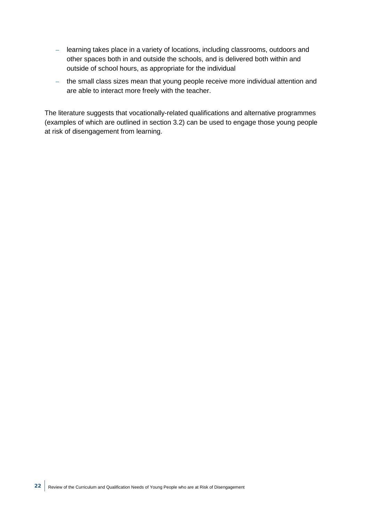- learning takes place in a variety of locations, including classrooms, outdoors and other spaces both in and outside the schools, and is delivered both within and outside of school hours, as appropriate for the individual
- the small class sizes mean that young people receive more individual attention and are able to interact more freely with the teacher.

The literature suggests that vocationally-related qualifications and alternative programmes (examples of which are outlined in section 3.2) can be used to engage those young people at risk of disengagement from learning.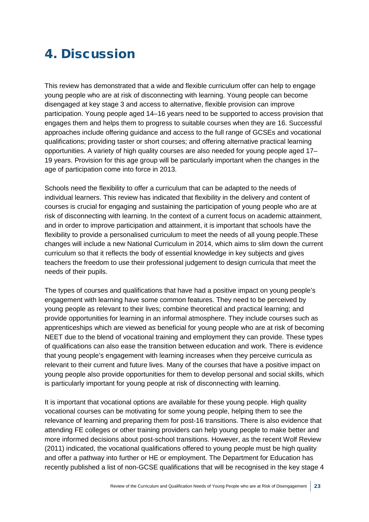## <span id="page-25-0"></span>4. Discussion

This review has demonstrated that a wide and flexible curriculum offer can help to engage young people who are at risk of disconnecting with learning. Young people can become disengaged at key stage 3 and access to alternative, flexible provision can improve participation. Young people aged 14–16 years need to be supported to access provision that engages them and helps them to progress to suitable courses when they are 16. Successful approaches include offering guidance and access to the full range of GCSEs and vocational qualifications; providing taster or short courses; and offering alternative practical learning opportunities. A variety of high quality courses are also needed for young people aged 17– 19 years. Provision for this age group will be particularly important when the changes in the age of participation come into force in 2013.

Schools need the flexibility to offer a curriculum that can be adapted to the needs of individual learners. This review has indicated that flexibility in the delivery and content of courses is crucial for engaging and sustaining the participation of young people who are at risk of disconnecting with learning. In the context of a current focus on academic attainment, and in order to improve participation and attainment, it is important that schools have the flexibility to provide a personalised curriculum to meet the needs of all young people.These changes will include a new National Curriculum in 2014, which aims to slim down the current curriculum so that it reflects the body of essential knowledge in key subjects and gives teachers the freedom to use their professional judgement to design curricula that meet the needs of their pupils.

The types of courses and qualifications that have had a positive impact on young people's engagement with learning have some common features. They need to be perceived by young people as relevant to their lives; combine theoretical and practical learning; and provide opportunities for learning in an informal atmosphere. They include courses such as apprenticeships which are viewed as beneficial for young people who are at risk of becoming NEET due to the blend of vocational training and employment they can provide. These types of qualifications can also ease the transition between education and work. There is evidence that young people's engagement with learning increases when they perceive curricula as relevant to their current and future lives. Many of the courses that have a positive impact on young people also provide opportunities for them to develop personal and social skills, which is particularly important for young people at risk of disconnecting with learning.

It is important that vocational options are available for these young people. High quality vocational courses can be motivating for some young people, helping them to see the relevance of learning and preparing them for post-16 transitions. There is also evidence that attending FE colleges or other training providers can help young people to make better and more informed decisions about post-school transitions. However, as the recent Wolf Review (2011) indicated, the vocational qualifications offered to young people must be high quality and offer a pathway into further or HE or employment. The Department for Education has recently published a list of non-GCSE qualifications that will be recognised in the key stage 4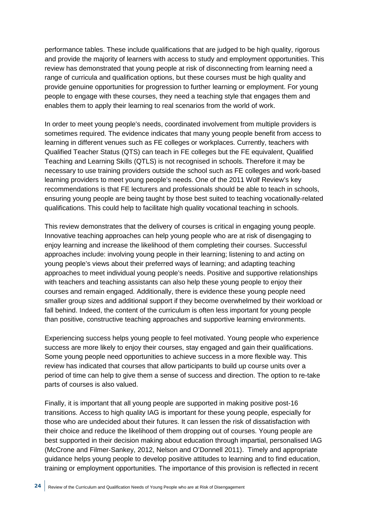performance tables. These include qualifications that are judged to be high quality, rigorous and provide the majority of learners with access to study and employment opportunities. This review has demonstrated that young people at risk of disconnecting from learning need a range of curricula and qualification options, but these courses must be high quality and provide genuine opportunities for progression to further learning or employment. For young people to engage with these courses, they need a teaching style that engages them and enables them to apply their learning to real scenarios from the world of work.

In order to meet young people's needs, coordinated involvement from multiple providers is sometimes required. The evidence indicates that many young people benefit from access to learning in different venues such as FE colleges or workplaces. Currently, teachers with Qualified Teacher Status (QTS) can teach in FE colleges but the FE equivalent, Qualified Teaching and Learning Skills (QTLS) is not recognised in schools. Therefore it may be necessary to use training providers outside the school such as FE colleges and work-based learning providers to meet young people's needs. One of the 2011 Wolf Review's key recommendations is that FE lecturers and professionals should be able to teach in schools, ensuring young people are being taught by those best suited to teaching vocationally-related qualifications. This could help to facilitate high quality vocational teaching in schools.

This review demonstrates that the delivery of courses is critical in engaging young people. Innovative teaching approaches can help young people who are at risk of disengaging to enjoy learning and increase the likelihood of them completing their courses. Successful approaches include: involving young people in their learning; listening to and acting on young people's views about their preferred ways of learning; and adapting teaching approaches to meet individual young people's needs. Positive and supportive relationships with teachers and teaching assistants can also help these young people to enjoy their courses and remain engaged. Additionally, there is evidence these young people need smaller group sizes and additional support if they become overwhelmed by their workload or fall behind. Indeed, the content of the curriculum is often less important for young people than positive, constructive teaching approaches and supportive learning environments.

Experiencing success helps young people to feel motivated. Young people who experience success are more likely to enjoy their courses, stay engaged and gain their qualifications. Some young people need opportunities to achieve success in a more flexible way. This review has indicated that courses that allow participants to build up course units over a period of time can help to give them a sense of success and direction. The option to re-take parts of courses is also valued.

Finally, it is important that all young people are supported in making positive post-16 transitions. Access to high quality IAG is important for these young people, especially for those who are undecided about their futures. It can lessen the risk of dissatisfaction with their choice and reduce the likelihood of them dropping out of courses. Young people are best supported in their decision making about education through impartial, personalised IAG (McCrone and Filmer-Sankey, 2012, Nelson and O'Donnell 2011). Timely and appropriate guidance helps young people to develop positive attitudes to learning and to find education, training or employment opportunities. The importance of this provision is reflected in recent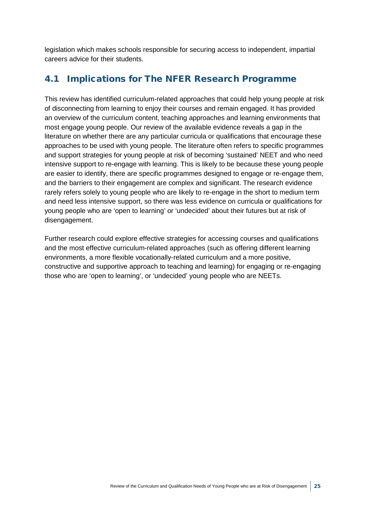legislation which makes schools responsible for securing access to independent, impartial careers advice for their students.

### <span id="page-27-0"></span>4.1 Implications for The NFER Research Programme

This review has identified curriculum-related approaches that could help young people at risk of disconnecting from learning to enjoy their courses and remain engaged. It has provided an overview of the curriculum content, teaching approaches and learning environments that most engage young people. Our review of the available evidence reveals a gap in the literature on whether there are any particular curricula or qualifications that encourage these approaches to be used with young people. The literature often refers to specific programmes and support strategies for young people at risk of becoming 'sustained' NEET and who need intensive support to re-engage with learning. This is likely to be because these young people are easier to identify, there are specific programmes designed to engage or re-engage them, and the barriers to their engagement are complex and significant. The research evidence rarely refers solely to young people who are likely to re-engage in the short to medium term and need less intensive support, so there was less evidence on curricula or qualifications for young people who are 'open to learning' or 'undecided' about their futures but at risk of disengagement.

Further research could explore effective strategies for accessing courses and qualifications and the most effective curriculum-related approaches (such as offering different learning environments, a more flexible vocationally-related curriculum and a more positive, constructive and supportive approach to teaching and learning) for engaging or re-engaging those who are 'open to learning', or 'undecided' young people who are NEETs.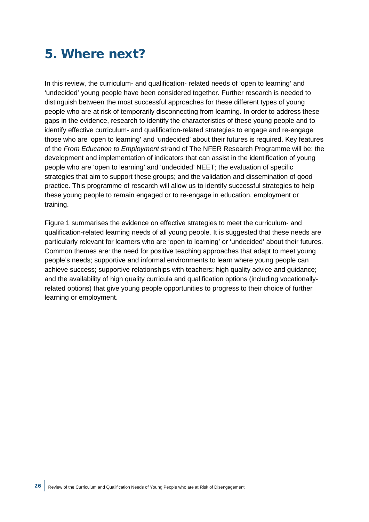## <span id="page-28-0"></span>5. Where next?

In this review, the curriculum- and qualification- related needs of 'open to learning' and 'undecided' young people have been considered together. Further research is needed to distinguish between the most successful approaches for these different types of young people who are at risk of temporarily disconnecting from learning. In order to address these gaps in the evidence, research to identify the characteristics of these young people and to identify effective curriculum- and qualification-related strategies to engage and re-engage those who are 'open to learning' and 'undecided' about their futures is required. Key features of the *From Education to Employment* strand of The NFER Research Programme will be: the development and implementation of indicators that can assist in the identification of young people who are 'open to learning' and 'undecided' NEET; the evaluation of specific strategies that aim to support these groups; and the validation and dissemination of good practice. This programme of research will allow us to identify successful strategies to help these young people to remain engaged or to re-engage in education, employment or training.

Figure 1 summarises the evidence on effective strategies to meet the curriculum- and qualification-related learning needs of all young people. It is suggested that these needs are particularly relevant for learners who are 'open to learning' or 'undecided' about their futures. Common themes are: the need for positive teaching approaches that adapt to meet young people's needs; supportive and informal environments to learn where young people can achieve success; supportive relationships with teachers; high quality advice and guidance; and the availability of high quality curricula and qualification options (including vocationallyrelated options) that give young people opportunities to progress to their choice of further learning or employment.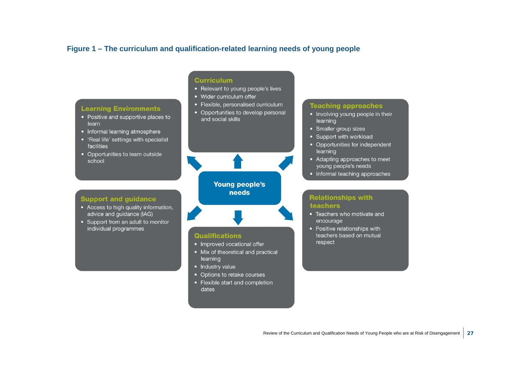### **Figure 1 – The curriculum and qualification-related learning needs of young people**

#### **Learning Environments**

- Positive and supportive places to learn
- Informal learning atmosphere
- 'Real life' settings with specialist facilities
- Opportunities to learn outside school

#### **Curriculum**

- Relevant to voung people's lives
- Wider curriculum offer
- Flexible, personalised curriculum
- Opportunities to develop personal and social skills

#### **Young people's** needs

#### **Support and guidance**

- Access to high quality information, advice and guidance (IAG)
- Support from an adult to monitor individual programmes

#### **Qualifications**

- Improved vocational offer
- Mix of theoretical and practical learning
- Industry value
- Options to retake courses
- Flexible start and completion dates

#### **Teaching approaches**

- Involving young people in their learning
- Smaller group sizes
- Support with workload
- Opportunities for independent learning
- Adapting approaches to meet young people's needs
- Informal teaching approaches

#### **Relationships with teachers**

- Teachers who motivate and encourage
- Positive relationships with teachers based on mutual respect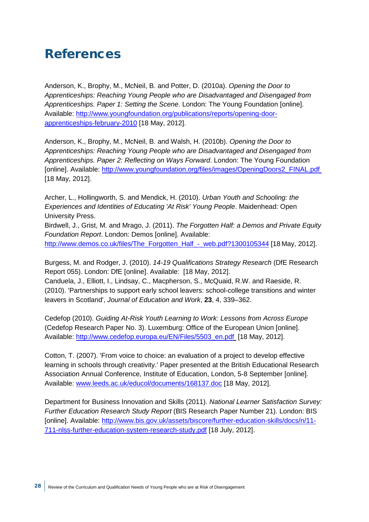## <span id="page-30-0"></span>References

Anderson, K., Brophy, M., McNeil, B. and Potter, D. (2010a). *Opening the Door to Apprenticeships: Reaching Young People who are Disadvantaged and Disengaged from Apprenticeships. Paper 1: Setting the Scene*. London: The Young Foundation [online]. Available: [http://www.youngfoundation.org/publications/reports/opening-door](http://www.youngfoundation.org/publications/reports/opening-door-apprenticeships-february-2010)[apprenticeships-february-2010](http://www.youngfoundation.org/publications/reports/opening-door-apprenticeships-february-2010) [18 May, 2012].

Anderson, K., Brophy, M., McNeil, B. and Walsh, H. (2010b). *Opening the Door to Apprenticeships: Reaching Young People who are Disadvantaged and Disengaged from Apprenticeships. Paper 2: Reflecting on Ways Forward*. London: The Young Foundation [online]. Available: [http://www.youngfoundation.org/files/images/OpeningDoors2\\_FINAL.pdf](http://www.youngfoundation.org/files/images/OpeningDoors2_FINAL.pdf)  [18 May, 2012].

Archer, L., Hollingworth, S. and Mendick, H. (2010). *Urban Youth and Schooling: the Experiences and Identities of Educating 'At Risk' Young People*. Maidenhead: Open University Press.

Birdwell, J., Grist, M. and Mrago, J. (2011). *The Forgotten Half: a Demos and Private Equity Foundation Report*. London: Demos [online]. Available: [http://www.demos.co.uk/files/The\\_Forgotten\\_Half\\_-\\_web.pdf?1300105344](http://www.demos.co.uk/files/The_Forgotten_Half_-_web.pdf?1300105344) [18 May, 2012].

Burgess, M. and Rodger, J. (2010). *14-19 Qualifications Strategy Research* (DfE Research Report 055). London: DfE [online]. Available: [18 May, 2012].

Canduela, J., Elliott, I., Lindsay, C., Macpherson, S., McQuaid, R.W. and Raeside, R. (2010). 'Partnerships to support early school leavers: school-college transitions and winter leavers in Scotland', *Journal of Education and Work*, **23**, 4, 339–362.

Cedefop (2010). *Guiding At-Risk Youth Learning to Work: Lessons from Across Europe* (Cedefop Research Paper No. 3). Luxemburg: Office of the European Union [online]. Available: [http://www.cedefop.europa.eu/EN/Files/5503\\_en.pdf](http://www.cedefop.europa.eu/EN/Files/5503_en.pdf) [18 May, 2012].

Cotton, T. (2007). 'From voice to choice: an evaluation of a project to develop effective learning in schools through creativity.' Paper presented at the British Educational Research Association Annual Conference*,* Institute of Education, London, 5-8 September [online]. Available: [www.leeds.ac.uk/educol/documents/168137.doc](http://www.leeds.ac.uk/educol/documents/168137.doc) [18 May, 2012].

Department for Business Innovation and Skills (2011). *National Learner Satisfaction Survey: Further Education Research Study Report* (BIS Research Paper Number 21). London: BIS [online]. Available: [http://www.bis.gov.uk/assets/biscore/further-education-skills/docs/n/11-](http://www.bis.gov.uk/assets/biscore/further-education-skills/docs/n/11-711-nlss-further-education-system-research-study.pdf) [711-nlss-further-education-system-research-study.pdf](http://www.bis.gov.uk/assets/biscore/further-education-skills/docs/n/11-711-nlss-further-education-system-research-study.pdf) [18 July, 2012].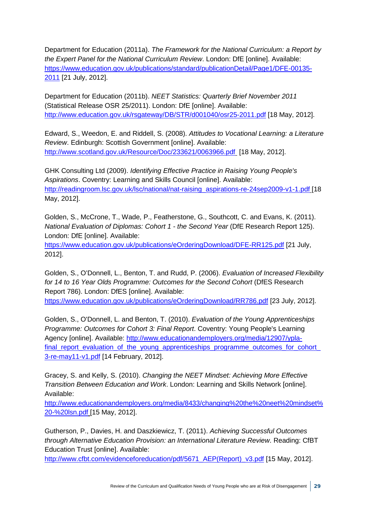Department for Education (2011a). *The Framework for the National Curriculum: a Report by the Expert Panel for the National Curriculum Review*. London: DfE [online]. Available: [https://www.education.gov.uk/publications/standard/publicationDetail/Page1/DFE-00135-](https://www.education.gov.uk/publications/standard/publicationDetail/Page1/DFE-00135-2011) [2011](https://www.education.gov.uk/publications/standard/publicationDetail/Page1/DFE-00135-2011) [21 July, 2012].

Department for Education (2011b). *NEET Statistics: Quarterly Brief November 2011*  (Statistical Release OSR 25/2011). London: DfE [online]. Available: <http://www.education.gov.uk/rsgateway/DB/STR/d001040/osr25-2011.pdf> [18 May, 2012].

Edward, S., Weedon, E. and Riddell, S. (2008). *Attitudes to Vocational Learning: a Literature Review*. Edinburgh: Scottish Government [online]. Available: <http://www.scotland.gov.uk/Resource/Doc/233621/0063966.pdf> [18 May, 2012].

GHK Consulting Ltd (2009). *Identifying Effective Practice in Raising Young People's Aspirations*. Coventry: Learning and Skills Council [online]. Available: [http://readingroom.lsc.gov.uk/lsc/national/nat-raising\\_aspirations-re-24sep2009-v1-1.pdf](http://readingroom.lsc.gov.uk/lsc/national/nat-raising_aspirations-re-24sep2009-v1-1.pdf) [18 May, 2012].

Golden, S., McCrone, T., Wade, P., Featherstone, G., Southcott, C. and Evans, K. (2011). *National Evaluation of Diplomas: Cohort 1 - the Second Year* (DfE Research Report 125). London: DfE [online]. Available:

<https://www.education.gov.uk/publications/eOrderingDownload/DFE-RR125.pdf> [21 July, 2012].

Golden, S., O'Donnell, L., Benton, T. and Rudd, P. (2006). *Evaluation of Increased Flexibility for 14 to 16 Year Olds Programme: Outcomes for the Second Cohort* (DfES Research Report 786). London: DfES [online]. Available: <https://www.education.gov.uk/publications/eOrderingDownload/RR786.pdf> [23 July, 2012].

Golden, S., O'Donnell, L. and Benton, T. (2010). *Evaluation of the Young Apprenticeships Programme: Outcomes for Cohort 3: Final Report*. Coventry: Young People's Learning Agency [online]. Available: [http://www.educationandemployers.org/media/12907/ypla](http://www.educationandemployers.org/media/12907/ypla-final_report_evaluation_of_the_young_apprenticeships_programme_outcomes_for_cohort_3-re-may11-v1.pdf)final report evaluation of the young apprenticeships programme outcomes for cohort [3-re-may11-v1.pdf](http://www.educationandemployers.org/media/12907/ypla-final_report_evaluation_of_the_young_apprenticeships_programme_outcomes_for_cohort_3-re-may11-v1.pdf) [14 February, 2012].

Gracey, S. and Kelly, S. (2010). *Changing the NEET Mindset: Achieving More Effective Transition Between Education and Work*. London: Learning and Skills Network [online]. Available:

[http://www.educationandemployers.org/media/8433/changing%20the%20neet%20mindset%](http://www.educationandemployers.org/media/8433/changing%20the%20neet%20mindset%20-%20lsn.pdf) [20-%20lsn.pdf](http://www.educationandemployers.org/media/8433/changing%20the%20neet%20mindset%20-%20lsn.pdf) [15 May, 2012].

Gutherson, P., Davies, H. and Daszkiewicz, T. (2011). *Achieving Successful Outcomes through Alternative Education Provision: an International Literature Review*. Reading: CfBT Education Trust [online]. Available:

[http://www.cfbt.com/evidenceforeducation/pdf/5671\\_AEP\(Report\)\\_v3.pdf](http://www.cfbt.com/evidenceforeducation/pdf/5671_AEP(Report)_v3.pdf) [15 May, 2012].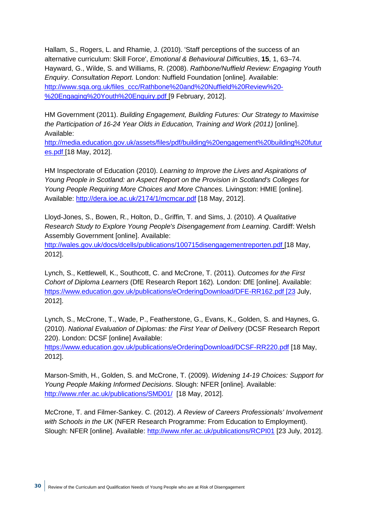Hallam, S., Rogers, L. and Rhamie, J. (2010). 'Staff perceptions of the success of an alternative curriculum: Skill Force', *Emotional & Behavioural Difficulties*, **15**, 1, 63–74. Hayward, G., Wilde, S. and Williams, R. (2008). *Rathbone/Nuffield Review: Engaging Youth Enquiry*. *Consultation Report.* London: Nuffield Foundation [online]. Available: [http://www.sqa.org.uk/files\\_ccc/Rathbone%20and%20Nuffield%20Review%20-](http://www.sqa.org.uk/files_ccc/Rathbone%20and%20Nuffield%20Review%20-%20Engaging%20Youth%20Enquiry.pdf) [%20Engaging%20Youth%20Enquiry.pdf](http://www.sqa.org.uk/files_ccc/Rathbone%20and%20Nuffield%20Review%20-%20Engaging%20Youth%20Enquiry.pdf) [9 February, 2012].

HM Government (2011). *Building Engagement, Building Futures: Our Strategy to Maximise the Participation of 16-24 Year Olds in Education, Training and Work (2011)* [online]. Available:

[http://media.education.gov.uk/assets/files/pdf/building%20engagement%20building%20futur](http://media.education.gov.uk/assets/files/pdf/building%20engagement%20building%20futures.pdf) [es.pdf](http://media.education.gov.uk/assets/files/pdf/building%20engagement%20building%20futures.pdf) [18 May, 2012].

HM Inspectorate of Education (2010). *Learning to Improve the Lives and Aspirations of Young People in Scotland: an Aspect Report on the Provision in Scotland's Colleges for Young People Requiring More Choices and More Chances.* Livingston: HMIE [online]. Available:<http://dera.ioe.ac.uk/2174/1/mcmcar.pdf> [18 May, 2012].

Lloyd-Jones, S., Bowen, R., Holton, D., Griffin, T. and Sims, J. (2010). *A Qualitative Research Study to Explore Young People's Disengagement from Learning*. Cardiff: Welsh Assembly Government [online]. Available:

<http://wales.gov.uk/docs/dcells/publications/100715disengagementreporten.pdf> [18 May, 2012].

Lynch, S., Kettlewell, K., Southcott, C. and McCrone, T. (2011). *Outcomes for the First Cohort of Diploma Learners* (DfE Research Report 162)*.* London: DfE [online]. Available: [https://www.education.gov.uk/publications/eOrderingDownload/DFE-RR162.pdf \[23](https://www.education.gov.uk/publications/eOrderingDownload/DFE-RR162.pdf%20%5b23) July, 2012].

Lynch, S., McCrone, T., Wade, P., Featherstone, G., Evans, K., Golden, S. and Haynes, G. (2010). *National Evaluation of Diplomas: the First Year of Delivery* (DCSF Research Report 220). London: DCSF [online] Available:

<https://www.education.gov.uk/publications/eOrderingDownload/DCSF-RR220.pdf> [18 May, 2012].

Marson-Smith, H., Golden, S. and McCrone, T. (2009). *Widening 14-19 Choices: Support for Young People Making Informed Decisions*. Slough: NFER [online]. Available: <http://www.nfer.ac.uk/publications/SMD01/>[18 May, 2012].

McCrone, T. and Filmer-Sankey. C. (2012). *A Review of Careers Professionals' Involvement with Schools in the UK* (NFER Research Programme: From Education to Employment). Slough: NFER [online]. Available:<http://www.nfer.ac.uk/publications/RCPI01> [23 July, 2012].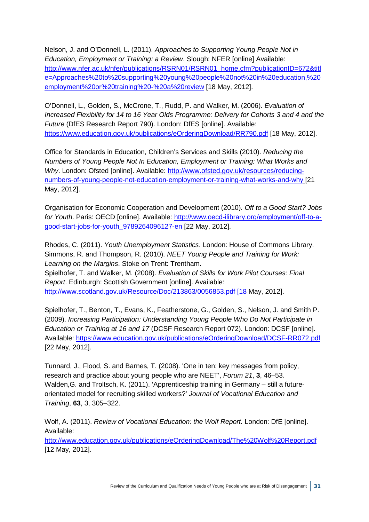Nelson, J. and O'Donnell, L. (2011). *Approaches to Supporting Young People Not in Education, Employment or Training: a Review*. Slough: NFER [online] Available: [http://www.nfer.ac.uk/nfer/publications/RSRN01/RSRN01\\_home.cfm?publicationID=672&titl](http://www.nfer.ac.uk/nfer/publications/RSRN01/RSRN01_home.cfm?publicationID=672&title=Approaches%20to%20supporting%20young%20people%20not%20in%20education,%20employment%20or%20training%20-%20a%20review) [e=Approaches%20to%20supporting%20young%20people%20not%20in%20education,%20](http://www.nfer.ac.uk/nfer/publications/RSRN01/RSRN01_home.cfm?publicationID=672&title=Approaches%20to%20supporting%20young%20people%20not%20in%20education,%20employment%20or%20training%20-%20a%20review) [employment%20or%20training%20-%20a%20review](http://www.nfer.ac.uk/nfer/publications/RSRN01/RSRN01_home.cfm?publicationID=672&title=Approaches%20to%20supporting%20young%20people%20not%20in%20education,%20employment%20or%20training%20-%20a%20review) [18 May, 2012].

O'Donnell, L., Golden, S., McCrone, T., Rudd, P. and Walker, M. (2006). *Evaluation of Increased Flexibility for 14 to 16 Year Olds Programme: Delivery for Cohorts 3 and 4 and the Future* (DfES Research Report 790). London: DfES [online]. Available: <https://www.education.gov.uk/publications/eOrderingDownload/RR790.pdf> [18 May, 2012].

Office for Standards in Education, Children's Services and Skills (2010). *Reducing the Numbers of Young People Not In Education, Employment or Training: What Works and Why*. London: Ofsted [online]. Available: [http://www.ofsted.gov.uk/resources/reducing](http://www.ofsted.gov.uk/resources/reducing-numbers-of-young-people-not-education-employment-or-training-what-works-and-why)[numbers-of-young-people-not-education-employment-or-training-what-works-and-why](http://www.ofsted.gov.uk/resources/reducing-numbers-of-young-people-not-education-employment-or-training-what-works-and-why) [21 May, 2012].

Organisation for Economic Cooperation and Development (2010). *Off to a Good Start? Jobs for Youth*. Paris: OECD [online]. Available: [http://www.oecd-ilibrary.org/employment/off-to-a](http://www.oecd-ilibrary.org/employment/off-to-a-good-start-jobs-for-youth_9789264096127-en)[good-start-jobs-for-youth\\_9789264096127-en](http://www.oecd-ilibrary.org/employment/off-to-a-good-start-jobs-for-youth_9789264096127-en) [22 May, 2012].

Rhodes, C. (2011). *Youth Unemployment Statistics*. London: House of Commons Library. Simmons, R. and Thompson, R. (2010). *NEET Young People and Training for Work: Learning on the Margins*. Stoke on Trent: Trentham. Spielhofer, T. and Walker, M. (2008). *Evaluation of Skills for Work Pilot Courses: Final Report*. Edinburgh: Scottish Government [online]. Available: [http://www.scotland.gov.uk/Resource/Doc/213863/0056853.pdf \[18](http://www.scotland.gov.uk/Resource/Doc/213863/0056853.pdf%20%5b18) May, 2012].

Spielhofer, T., Benton, T., Evans, K., Featherstone, G., Golden, S., Nelson, J. and Smith P. (2009). *Increasing Participation: Understanding Young People Who Do Not Participate in Education or Training at 16 and 17* (DCSF Research Report 072). London: DCSF [online]. Available:<https://www.education.gov.uk/publications/eOrderingDownload/DCSF-RR072.pdf> [22 May, 2012].

Tunnard, J., Flood, S. and Barnes, T. (2008). 'One in ten: key messages from policy, research and practice about young people who are NEET', *Forum 21*, **3**, 46–53. Walden,G. and Troltsch, K. (2011). 'Apprenticeship training in Germany – still a futureorientated model for recruiting skilled workers?' *Journal of Vocational Education and Training*, **63**, 3, 305–322.

Wolf, A. (2011). *Review of Vocational Education: the Wolf Report.* London: DfE [online]. Available:

<http://www.education.gov.uk/publications/eOrderingDownload/The%20Wolf%20Report.pdf> [12 May, 2012].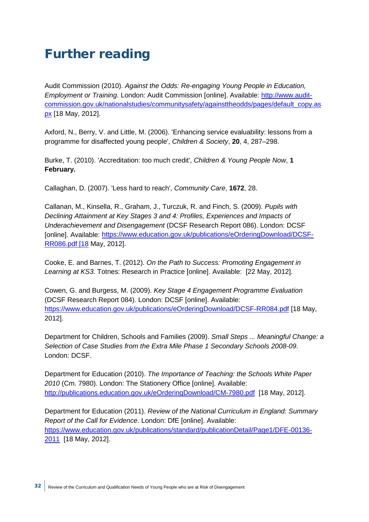## <span id="page-34-0"></span>Further reading

Audit Commission (2010). *Against the Odds: Re-engaging Young People in Education, Employment or Training*. London: Audit Commission [online]. Available: [http://www.audit](http://www.audit-commission.gov.uk/nationalstudies/communitysafety/againsttheodds/pages/default_copy.aspx)[commission.gov.uk/nationalstudies/communitysafety/againsttheodds/pages/default\\_copy.as](http://www.audit-commission.gov.uk/nationalstudies/communitysafety/againsttheodds/pages/default_copy.aspx) [px](http://www.audit-commission.gov.uk/nationalstudies/communitysafety/againsttheodds/pages/default_copy.aspx) [18 May, 2012].

Axford, N., Berry, V. and Little, M. (2006). 'Enhancing service evaluability: lessons from a programme for disaffected young people', *Children & Society*, **20**, 4, 287–298.

Burke, T. (2010). 'Accreditation: too much credit', *Children & Young People Now*, **1 February.**

Callaghan, D. (2007). 'Less hard to reach', *Community Care*, **1672**, 28.

Callanan, M., Kinsella, R., Graham, J., Turczuk, R. and Finch, S. (2009). *Pupils with Declining Attainment at Key Stages 3 and 4: Profiles, Experiences and Impacts of Underachievement and Disengagement* (DCSF Research Report 086). London: DCSF [online]. Available: [https://www.education.gov.uk/publications/eOrderingDownload/DCSF-](https://www.education.gov.uk/publications/eOrderingDownload/DCSF-RR086.pdf%20%5b18)[RR086.pdf \[18](https://www.education.gov.uk/publications/eOrderingDownload/DCSF-RR086.pdf%20%5b18) May, 2012].

Cooke, E. and Barnes, T. (2012). *On the Path to Success: Promoting Engagement in Learning at KS3*. Totnes: Research in Practice [online]. Available: [22 May, 2012].

Cowen, G. and Burgess, M. (2009). *Key Stage 4 Engagement Programme Evaluation* (DCSF Research Report 084). London: DCSF [online]. Available: <https://www.education.gov.uk/publications/eOrderingDownload/DCSF-RR084.pdf> [18 May, 2012].

Department for Children, Schools and Families (2009). *Small Steps ... Meaningful Change: a Selection of Case Studies from the Extra Mile Phase 1 Secondary Schools 2008-09*. London: DCSF.

Department for Education (2010). *The Importance of Teaching: the Schools White Paper 2010* (Cm. 7980). London: The Stationery Office [online]. Available: <http://publications.education.gov.uk/eOrderingDownload/CM-7980.pdf>[18 May, 2012].

Department for Education (2011). *Review of the National Curriculum in England: Summary Report of the Call for Evidence*. London: DfE [online]. Available: [https://www.education.gov.uk/publications/standard/publicationDetail/Page1/DFE-00136-](https://www.education.gov.uk/publications/standard/publicationDetail/Page1/DFE-00136-2011) [2011](https://www.education.gov.uk/publications/standard/publicationDetail/Page1/DFE-00136-2011) [18 May, 2012].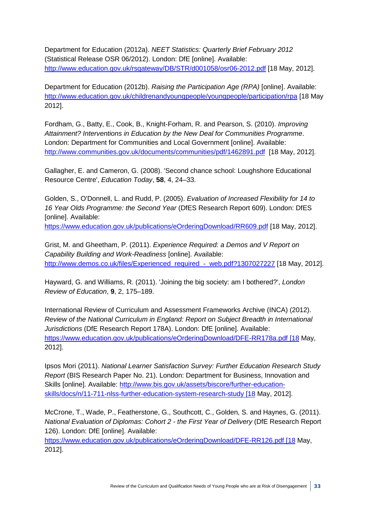Department for Education (2012a). *NEET Statistics: Quarterly Brief February 2012* (Statistical Release OSR 06/2012). London: DfE [online]. Available: <http://www.education.gov.uk/rsgateway/DB/STR/d001058/osr06-2012.pdf> [18 May, 2012].

Department for Education (2012b). *Raising the Participation Age (RPA)* [online]. Available: <http://www.education.gov.uk/childrenandyoungpeople/youngpeople/participation/rpa> [18 May 2012].

Fordham, G., Batty, E., Cook, B., Knight-Forham, R. and Pearson, S. (2010). *Improving Attainment? Interventions in Education by the New Deal for Communities Programme*. London: Department for Communities and Local Government [online]. Available: <http://www.communities.gov.uk/documents/communities/pdf/1462891.pdf>[18 May, 2012].

Gallagher, E. and Cameron, G. (2008). 'Second chance school: Loughshore Educational Resource Centre', *Education Today*, **58**, 4, 24–33.

Golden, S., O'Donnell, L. and Rudd, P. (2005). *Evaluation of Increased Flexibility for 14 to 16 Year Olds Programme: the Second Year* (DfES Research Report 609). London: DfES [online]. Available:

<https://www.education.gov.uk/publications/eOrderingDownload/RR609.pdf> [18 May, 2012].

Grist, M. and Gheetham, P. (2011). *Experience Required: a Demos and V Report on Capability Building and Work-Readiness* [online]. Available: [http://www.demos.co.uk/files/Experienced\\_required\\_-\\_web.pdf?1307027227](http://www.demos.co.uk/files/Experienced_required_-_web.pdf?1307027227%20) [18 May, 2012].

Hayward, G. and Williams, R. (2011). 'Joining the big society: am I bothered?', *London Review of Education*, **9**, 2, 175–189.

International Review of Curriculum and Assessment Frameworks Archive (INCA) (2012). *Review of the National Curriculum in England: Report on Subject Breadth in International Jurisdictions* (DfE Research Report 178A). London: DfE [online]. Available: [https://www.education.gov.uk/publications/eOrderingDownload/DFE-RR178a.pdf \[18](https://www.education.gov.uk/publications/eOrderingDownload/DFE-RR178a.pdf%20%5b18) May, 2012].

Ipsos Mori (2011). *National Learner Satisfaction Survey: Further Education Research Study Report* (BIS Research Paper No. 21). London: Department for Business, Innovation and Skills [online]. Available: [http://www.bis.gov.uk/assets/biscore/further-education](http://www.bis.gov.uk/assets/biscore/further-education-skills/docs/n/11-711-nlss-further-education-system-research-study%20%5b18)[skills/docs/n/11-711-nlss-further-education-system-research-study \[18](http://www.bis.gov.uk/assets/biscore/further-education-skills/docs/n/11-711-nlss-further-education-system-research-study%20%5b18) May, 2012].

McCrone, T., Wade, P., Featherstone, G., Southcott, C., Golden, S. and Haynes, G. (2011). *National Evaluation of Diplomas: Cohort 2 - the First Year of Delivery* (DfE Research Report 126). London: DfE [online]. Available:

[https://www.education.gov.uk/publications/eOrderingDownload/DFE-RR126.pdf \[18](https://www.education.gov.uk/publications/eOrderingDownload/DFE-RR126.pdf%20%5b18) May, 2012].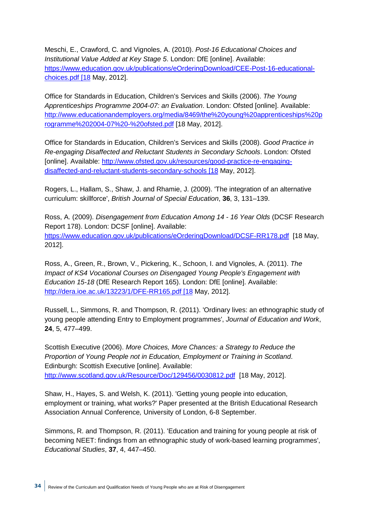Meschi, E., Crawford, C. and Vignoles, A. (2010). *Post-16 Educational Choices and Institutional Value Added at Key Stage 5*. London: DfE [online]. Available: [https://www.education.gov.uk/publications/eOrderingDownload/CEE-Post-16-educational](https://www.education.gov.uk/publications/eOrderingDownload/CEE-Post-16-educational-choices.pdf%20%5b18)[choices.pdf \[18](https://www.education.gov.uk/publications/eOrderingDownload/CEE-Post-16-educational-choices.pdf%20%5b18) May, 2012].

Office for Standards in Education, Children's Services and Skills (2006). *The Young Apprenticeships Programme 2004-07: an Evaluation*. London: Ofsted [online]. Available: [http://www.educationandemployers.org/media/8469/the%20young%20apprenticeships%20p](http://www.educationandemployers.org/media/8469/the%20young%20apprenticeships%20programme%202004-07%20-%20ofsted.pdf) [rogramme%202004-07%20-%20ofsted.pdf](http://www.educationandemployers.org/media/8469/the%20young%20apprenticeships%20programme%202004-07%20-%20ofsted.pdf) [18 May, 2012].

Office for Standards in Education, Children's Services and Skills (2008). *Good Practice in Re-engaging Disaffected and Reluctant Students in Secondary Schools*. London: Ofsted [online]. Available: [http://www.ofsted.gov.uk/resources/good-practice-re-engaging](http://www.ofsted.gov.uk/resources/good-practice-re-engaging-disaffected-and-reluctant-students-secondary-schools%20%5b18)[disaffected-and-reluctant-students-secondary-schools \[18](http://www.ofsted.gov.uk/resources/good-practice-re-engaging-disaffected-and-reluctant-students-secondary-schools%20%5b18) May, 2012].

Rogers, L., Hallam, S., Shaw, J. and Rhamie, J. (2009). 'The integration of an alternative curriculum: skillforce', *British Journal of Special Education*, **36**, 3, 131–139.

Ross, A. (2009). *Disengagement from Education Among 14 - 16 Year Olds* (DCSF Research Report 178). London: DCSF [online]. Available: <https://www.education.gov.uk/publications/eOrderingDownload/DCSF-RR178.pdf>[18 May, 2012].

Ross, A., Green, R., Brown, V., Pickering, K., Schoon, I. and Vignoles, A. (2011). *The Impact of KS4 Vocational Courses on Disengaged Young People's Engagement with Education 15-18* (DfE Research Report 165). London: DfE [online]. Available: [http://dera.ioe.ac.uk/13223/1/DFE-RR165.pdf \[18](http://dera.ioe.ac.uk/13223/1/DFE-RR165.pdf%20%5b18) May, 2012].

Russell, L., Simmons, R. and Thompson, R. (2011). 'Ordinary lives: an ethnographic study of young people attending Entry to Employment programmes', *Journal of Education and Work*, **24**, 5, 477–499.

Scottish Executive (2006). *More Choices, More Chances: a Strategy to Reduce the Proportion of Young People not in Education, Employment or Training in Scotland*. Edinburgh: Scottish Executive [online]. Available: <http://www.scotland.gov.uk/Resource/Doc/129456/0030812.pdf> [18 May, 2012].

Shaw, H., Hayes, S. and Welsh, K. (2011). 'Getting young people into education, employment or training, what works?' Paper presented at the British Educational Research Association Annual Conference*,* University of London, 6-8 September.

Simmons, R. and Thompson, R. (2011). 'Education and training for young people at risk of becoming NEET: findings from an ethnographic study of work-based learning programmes', *Educational Studies*, **37**, 4, 447–450.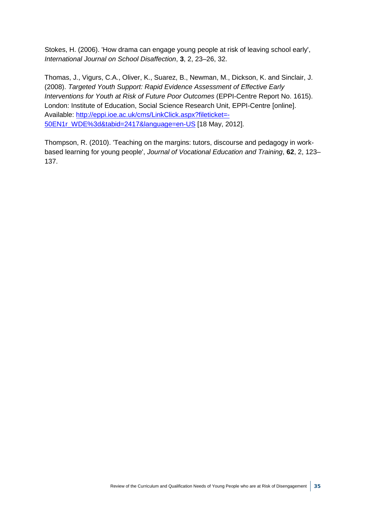Stokes, H. (2006). 'How drama can engage young people at risk of leaving school early', *International Journal on School Disaffection*, **3**, 2, 23–26, 32.

Thomas, J., Vigurs, C.A., Oliver, K., Suarez, B., Newman, M., Dickson, K. and Sinclair, J. (2008). *Targeted Youth Support: Rapid Evidence Assessment of Effective Early Interventions for Youth at Risk of Future Poor Outcomes* (EPPI-Centre Report No. 1615). London: Institute of Education, Social Science Research Unit, EPPI-Centre [online]. Available: [http://eppi.ioe.ac.uk/cms/LinkClick.aspx?fileticket=-](http://eppi.ioe.ac.uk/cms/LinkClick.aspx?fileticket=-50EN1r_WDE%3d&tabid=2417&language=en-US%20) [50EN1r\\_WDE%3d&tabid=2417&language=en-US](http://eppi.ioe.ac.uk/cms/LinkClick.aspx?fileticket=-50EN1r_WDE%3d&tabid=2417&language=en-US%20) [18 May, 2012].

Thompson, R. (2010). 'Teaching on the margins: tutors, discourse and pedagogy in workbased learning for young people', *Journal of Vocational Education and Training*, **62**, 2, 123– 137.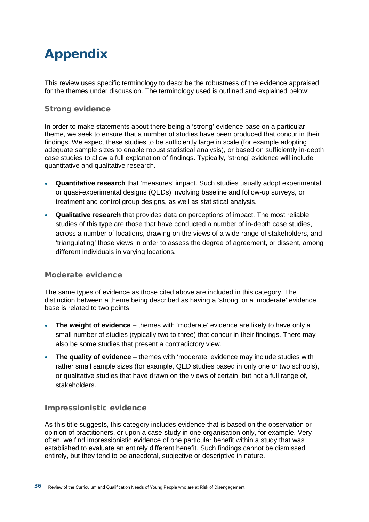# <span id="page-38-0"></span>Appendix

This review uses specific terminology to describe the robustness of the evidence appraised for the themes under discussion. The terminology used is outlined and explained below:

#### Strong evidence

In order to make statements about there being a 'strong' evidence base on a particular theme, we seek to ensure that a number of studies have been produced that concur in their findings. We expect these studies to be sufficiently large in scale (for example adopting adequate sample sizes to enable robust statistical analysis), or based on sufficiently in-depth case studies to allow a full explanation of findings. Typically, 'strong' evidence will include quantitative and qualitative research.

- **Quantitative research** that 'measures' impact. Such studies usually adopt experimental or quasi-experimental designs (QEDs) involving baseline and follow-up surveys, or treatment and control group designs, as well as statistical analysis.
- **Qualitative research** that provides data on perceptions of impact. The most reliable studies of this type are those that have conducted a number of in-depth case studies, across a number of locations, drawing on the views of a wide range of stakeholders, and 'triangulating' those views in order to assess the degree of agreement, or dissent, among different individuals in varying locations.

#### Moderate evidence

The same types of evidence as those cited above are included in this category. The distinction between a theme being described as having a 'strong' or a 'moderate' evidence base is related to two points.

- **The weight of evidence** themes with 'moderate' evidence are likely to have only a small number of studies (typically two to three) that concur in their findings. There may also be some studies that present a contradictory view.
- **The quality of evidence** themes with 'moderate' evidence may include studies with rather small sample sizes (for example, QED studies based in only one or two schools), or qualitative studies that have drawn on the views of certain, but not a full range of, stakeholders.

### Impressionistic evidence

As this title suggests, this category includes evidence that is based on the observation or opinion of practitioners, or upon a case-study in one organisation only, for example. Very often, we find impressionistic evidence of one particular benefit within a study that was established to evaluate an entirely different benefit. Such findings cannot be dismissed entirely, but they tend to be anecdotal, subjective or descriptive in nature.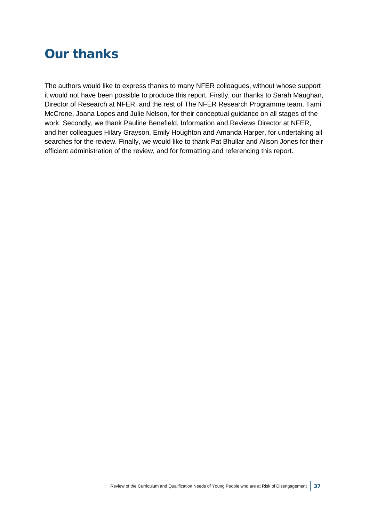## Our thanks

The authors would like to express thanks to many NFER colleagues, without whose support it would not have been possible to produce this report. Firstly, our thanks to Sarah Maughan, Director of Research at NFER, and the rest of The NFER Research Programme team, Tami McCrone, Joana Lopes and Julie Nelson, for their conceptual guidance on all stages of the work. Secondly, we thank Pauline Benefield, Information and Reviews Director at NFER, and her colleagues Hilary Grayson, Emily Houghton and Amanda Harper, for undertaking all searches for the review. Finally, we would like to thank Pat Bhullar and Alison Jones for their efficient administration of the review, and for formatting and referencing this report.